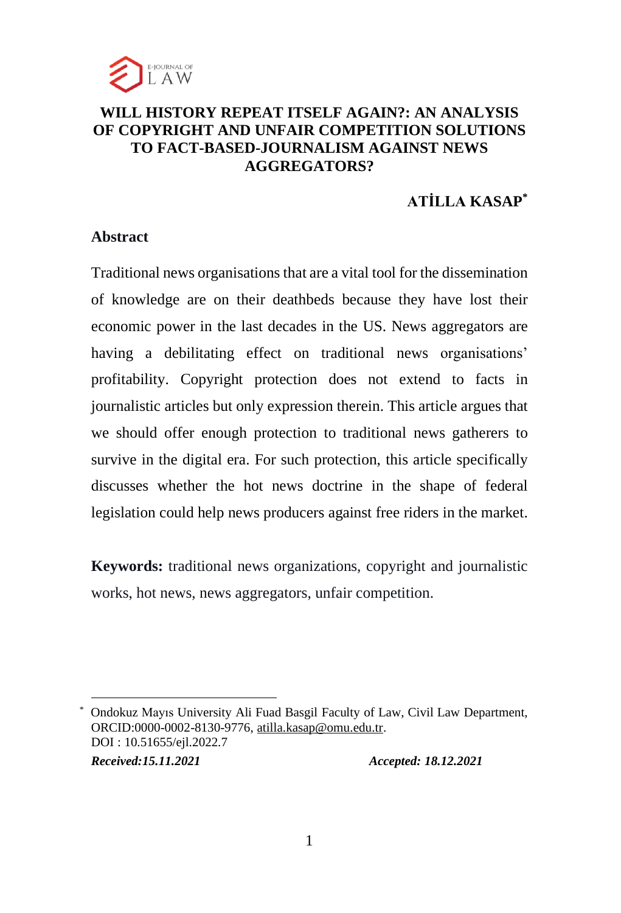

# **WILL HISTORY REPEAT ITSELF AGAIN?: AN ANALYSIS OF COPYRIGHT AND UNFAIR COMPETITION SOLUTIONS TO FACT-BASED-JOURNALISM AGAINST NEWS AGGREGATORS?**

# **ATİLLA KASAP\***

# **Abstract**

Traditional news organisations that are a vital tool for the dissemination of knowledge are on their deathbeds because they have lost their economic power in the last decades in the US. News aggregators are having a debilitating effect on traditional news organisations' profitability. Copyright protection does not extend to facts in journalistic articles but only expression therein. This article argues that we should offer enough protection to traditional news gatherers to survive in the digital era. For such protection, this article specifically discusses whether the hot news doctrine in the shape of federal legislation could help news producers against free riders in the market.

**Keywords:** traditional news organizations, copyright and journalistic works, hot news, news aggregators, unfair competition.

\* Ondokuz Mayıs University Ali Fuad Basgil Faculty of Law, Civil Law Department, ORCID:0000-0002-8130-9776, [atilla.kasap@omu.edu.tr.](mailto:atilla.kasap@omu.edu.tr) DOI : 10.51655/ejl.2022.7 *Received:15.11.2021 Accepted: 18.12.2021*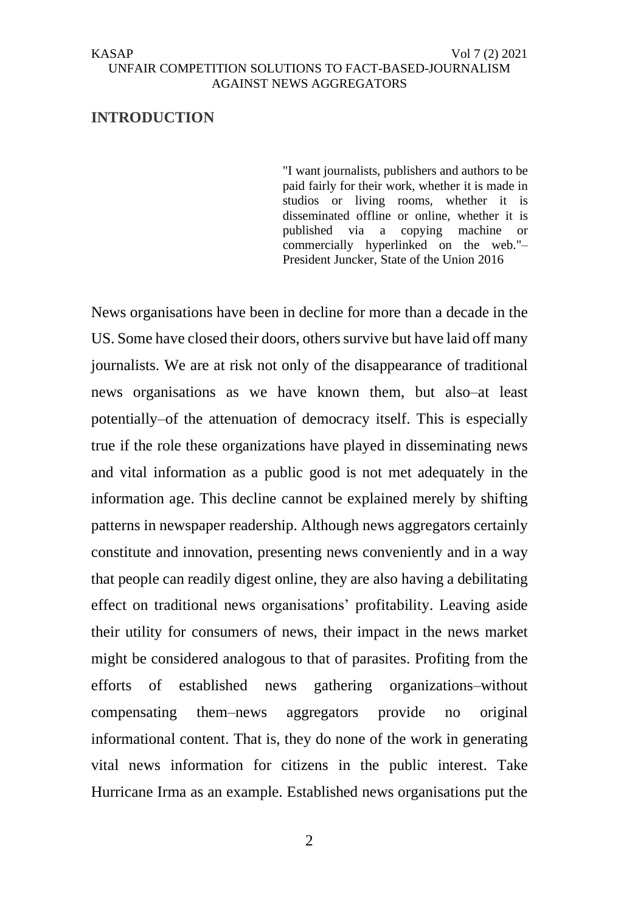# **INTRODUCTION**

"I want journalists, publishers and authors to be paid fairly for their work, whether it is made in studios or living rooms, whether it is disseminated offline or online, whether it is published via a copying machine or commercially hyperlinked on the web."– President Juncker, State of the Union 2016

News organisations have been in decline for more than a decade in the US. Some have closed their doors, others survive but have laid off many journalists. We are at risk not only of the disappearance of traditional news organisations as we have known them, but also–at least potentially–of the attenuation of democracy itself. This is especially true if the role these organizations have played in disseminating news and vital information as a public good is not met adequately in the information age. This decline cannot be explained merely by shifting patterns in newspaper readership. Although news aggregators certainly constitute and innovation, presenting news conveniently and in a way that people can readily digest online, they are also having a debilitating effect on traditional news organisations' profitability. Leaving aside their utility for consumers of news, their impact in the news market might be considered analogous to that of parasites. Profiting from the efforts of established news gathering organizations–without compensating them–news aggregators provide no original informational content. That is, they do none of the work in generating vital news information for citizens in the public interest. Take Hurricane Irma as an example. Established news organisations put the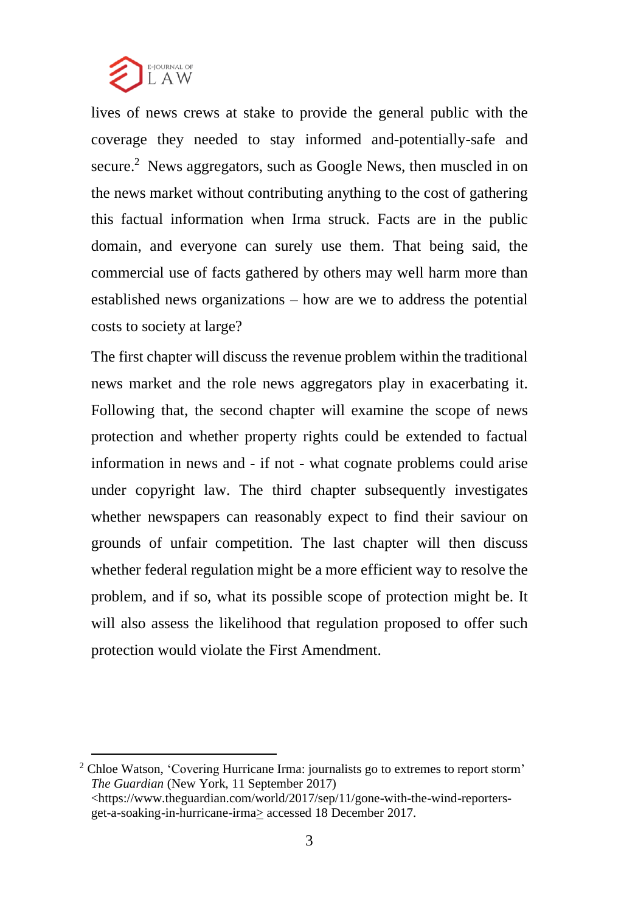

lives of news crews at stake to provide the general public with the coverage they needed to stay informed and-potentially-safe and secure.<sup>2</sup> News aggregators, such as Google News, then muscled in on the news market without contributing anything to the cost of gathering this factual information when Irma struck. Facts are in the public domain, and everyone can surely use them. That being said, the commercial use of facts gathered by others may well harm more than established news organizations – how are we to address the potential costs to society at large?

The first chapter will discuss the revenue problem within the traditional news market and the role news aggregators play in exacerbating it. Following that, the second chapter will examine the scope of news protection and whether property rights could be extended to factual information in news and - if not - what cognate problems could arise under copyright law. The third chapter subsequently investigates whether newspapers can reasonably expect to find their saviour on grounds of unfair competition. The last chapter will then discuss whether federal regulation might be a more efficient way to resolve the problem, and if so, what its possible scope of protection might be. It will also assess the likelihood that regulation proposed to offer such protection would violate the First Amendment.

<sup>2</sup> Chloe Watson, 'Covering Hurricane Irma: journalists go to extremes to report storm' *The Guardian* (New York, 11 September 2017) <https://www.theguardian.com/world/2017/sep/11/gone-with-the-wind-reportersget-a-soaking-in-hurricane-irma> accessed 18 December 2017.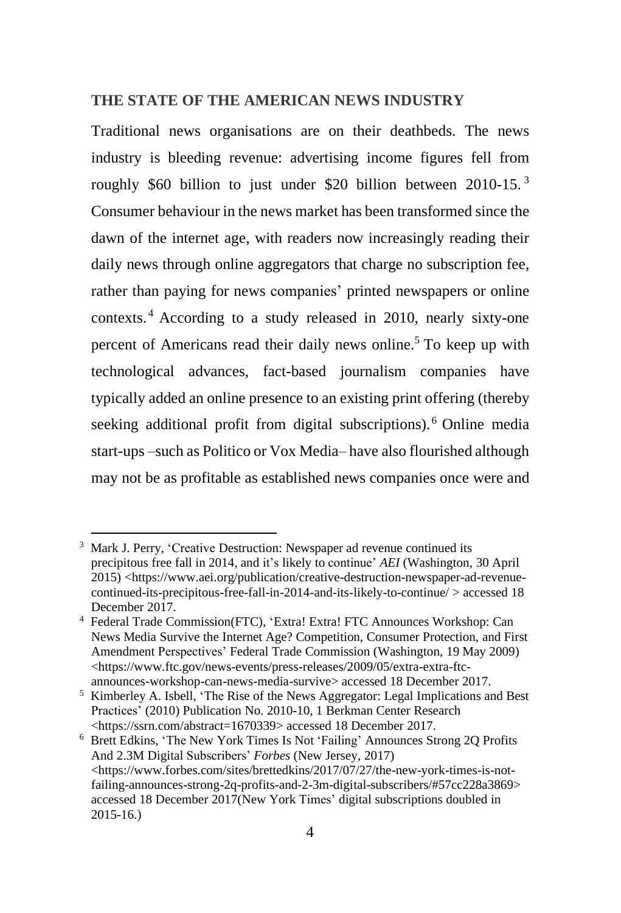# **THE STATE OF THE AMERICAN NEWS INDUSTRY**

Traditional news organisations are on their deathbeds. The news industry is bleeding revenue: advertising income figures fell from roughly \$60 billion to just under \$20 billion between 2010-15. <sup>3</sup> Consumer behaviour in the news market has been transformed since the dawn of the internet age, with readers now increasingly reading their daily news through online aggregators that charge no subscription fee, rather than paying for news companies' printed newspapers or online contexts. <sup>4</sup> According to a study released in 2010, nearly sixty-one percent of Americans read their daily news online.<sup>5</sup> To keep up with technological advances, fact-based journalism companies have typically added an online presence to an existing print offering (thereby seeking additional profit from digital subscriptions).<sup>6</sup> Online media start-ups –such as Politico or Vox Media– have also flourished although may not be as profitable as established news companies once were and

<sup>&</sup>lt;sup>3</sup> Mark J. Perry, 'Creative Destruction: Newspaper ad revenue continued its precipitous free fall in 2014, and it's likely to continue' *AEI* (Washington, 30 April 2015) <https://www.aei.org/publication/creative-destruction-newspaper-ad-revenuecontinued-its-precipitous-free-fall-in-2014-and-its-likely-to-continue/ > accessed 18 December 2017.

<sup>4</sup> Federal Trade Commission(FTC), 'Extra! Extra! FTC Announces Workshop: Can News Media Survive the Internet Age? Competition, Consumer Protection, and First Amendment Perspectives' Federal Trade Commission (Washington, 19 May 2009) <https://www.ftc.gov/news-events/press-releases/2009/05/extra-extra-ftcannounces-workshop-can-news-media-survive> accessed 18 December 2017.

<sup>&</sup>lt;sup>5</sup> Kimberley A. Isbell, 'The Rise of the News Aggregator: Legal Implications and Best Practices' (2010) Publication No. 2010-10, 1 Berkman Center Research <https://ssrn.com/abstract=1670339> accessed 18 December 2017.

<sup>6</sup> Brett Edkins, 'The New York Times Is Not 'Failing' Announces Strong 2Q Profits And 2.3M Digital Subscribers' *Forbes* (New Jersey, 2017) <https://www.forbes.com/sites/brettedkins/2017/07/27/the-new-york-times-is-notfailing-announces-strong-2q-profits-and-2-3m-digital-subscribers/#57cc228a3869> accessed 18 December 2017(New York Times' digital subscriptions doubled in 2015-16.)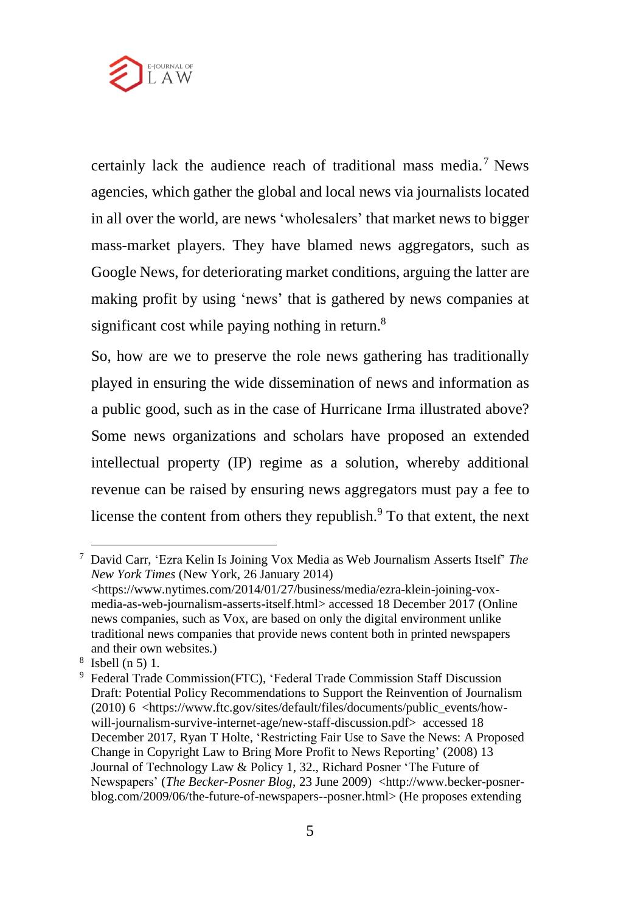

certainly lack the audience reach of traditional mass media.<sup>7</sup> News agencies, which gather the global and local news via journalists located in all over the world, are news 'wholesalers' that market news to bigger mass-market players. They have blamed news aggregators, such as Google News, for deteriorating market conditions, arguing the latter are making profit by using 'news' that is gathered by news companies at significant cost while paying nothing in return.<sup>8</sup>

So, how are we to preserve the role news gathering has traditionally played in ensuring the wide dissemination of news and information as a public good, such as in the case of Hurricane Irma illustrated above? Some news organizations and scholars have proposed an extended intellectual property (IP) regime as a solution, whereby additional revenue can be raised by ensuring news aggregators must pay a fee to license the content from others they republish. $9$  To that extent, the next

<sup>7</sup> David Carr, 'Ezra Kelin Is Joining Vox Media as Web Journalism Asserts Itself' *The New York Times* (New York, 26 January 2014)

<sup>&</sup>lt;https://www.nytimes.com/2014/01/27/business/media/ezra-klein-joining-voxmedia-as-web-journalism-asserts-itself.html> accessed 18 December 2017 (Online news companies, such as Vox, are based on only the digital environment unlike traditional news companies that provide news content both in printed newspapers and their own websites.)

<sup>8</sup> Isbell (n 5) 1.

<sup>&</sup>lt;sup>9</sup> Federal Trade Commission(FTC), 'Federal Trade Commission Staff Discussion Draft: Potential Policy Recommendations to Support the Reinvention of Journalism (2010) 6 <https://www.ftc.gov/sites/default/files/documents/public\_events/howwill-journalism-survive-internet-age/new-staff-discussion.pdf> accessed 18 December 2017, Ryan T Holte, 'Restricting Fair Use to Save the News: A Proposed Change in Copyright Law to Bring More Profit to News Reporting' (2008) 13 Journal of Technology Law & Policy 1, 32., Richard Posner 'The Future of Newspapers' (*The Becker-Posner Blog*, 23 June 2009) <http://www.becker-posnerblog.com/2009/06/the-future-of-newspapers--posner.html> (He proposes extending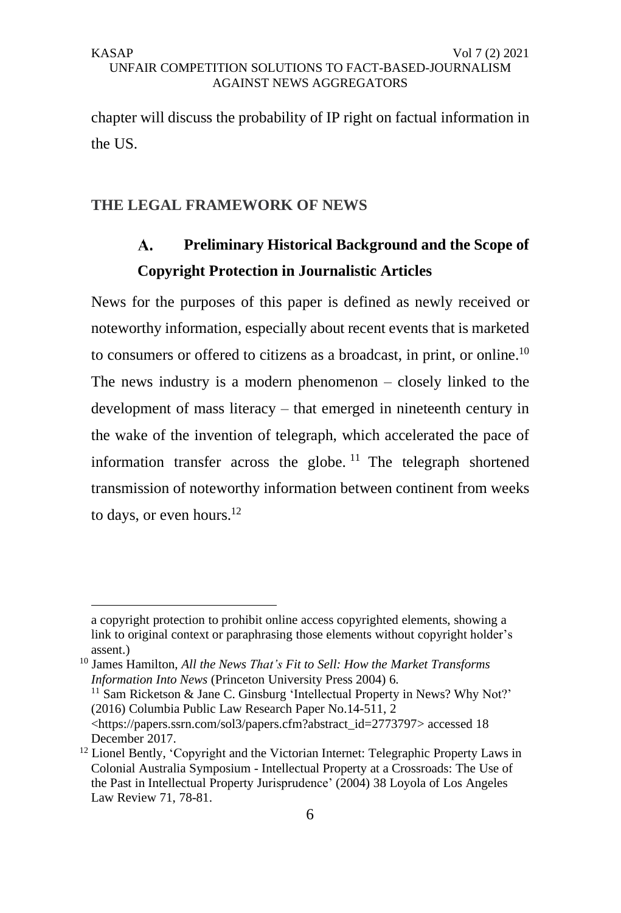chapter will discuss the probability of IP right on factual information in the US.

# **THE LEGAL FRAMEWORK OF NEWS**

#### **Preliminary Historical Background and the Scope of**   $\mathbf{A}$ . **Copyright Protection in Journalistic Articles**

News for the purposes of this paper is defined as newly received or noteworthy information, especially about recent events that is marketed to consumers or offered to citizens as a broadcast, in print, or online.<sup>10</sup> The news industry is a modern phenomenon – closely linked to the development of mass literacy – that emerged in nineteenth century in the wake of the invention of telegraph, which accelerated the pace of information transfer across the globe.<sup>11</sup> The telegraph shortened transmission of noteworthy information between continent from weeks to days, or even hours. $^{12}$ 

a copyright protection to prohibit online access copyrighted elements, showing a link to original context or paraphrasing those elements without copyright holder's assent.)

<sup>10</sup> James Hamilton, *All the News That's Fit to Sell: How the Market Transforms Information Into News* (Princeton University Press 2004) 6.

<sup>&</sup>lt;sup>11</sup> Sam Ricketson & Jane C. Ginsburg 'Intellectual Property in News? Why Not?' (2016) Columbia Public Law Research Paper No.14-511, 2

<sup>&</sup>lt;https://papers.ssrn.com/sol3/papers.cfm?abstract\_id=2773797> accessed 18 December 2017.

<sup>&</sup>lt;sup>12</sup> Lionel Bently, 'Copyright and the Victorian Internet: Telegraphic Property Laws in Colonial Australia Symposium - Intellectual Property at a Crossroads: The Use of the Past in Intellectual Property Jurisprudence' (2004) 38 Loyola of Los Angeles Law Review 71, 78-81.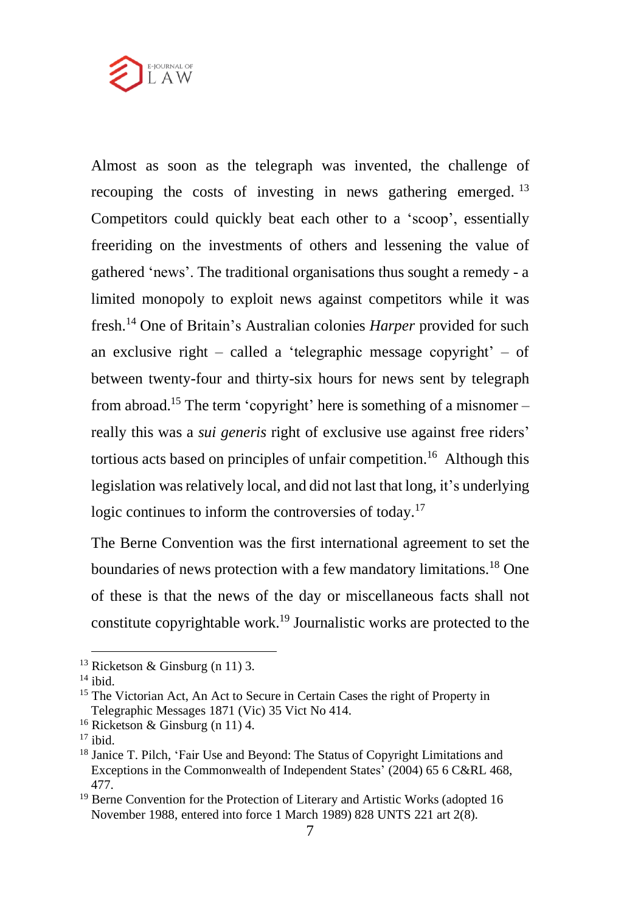

Almost as soon as the telegraph was invented, the challenge of recouping the costs of investing in news gathering emerged.<sup>13</sup> Competitors could quickly beat each other to a 'scoop', essentially freeriding on the investments of others and lessening the value of gathered 'news'. The traditional organisations thus sought a remedy - a limited monopoly to exploit news against competitors while it was fresh.<sup>14</sup> One of Britain's Australian colonies *Harper* provided for such an exclusive right – called a 'telegraphic message copyright' – of between twenty-four and thirty-six hours for news sent by telegraph from abroad.<sup>15</sup> The term 'copyright' here is something of a misnomer – really this was a *sui generis* right of exclusive use against free riders' tortious acts based on principles of unfair competition.<sup>16</sup> Although this legislation wasrelatively local, and did not last that long, it's underlying logic continues to inform the controversies of today.<sup>17</sup>

The Berne Convention was the first international agreement to set the boundaries of news protection with a few mandatory limitations.<sup>18</sup> One of these is that the news of the day or miscellaneous facts shall not constitute copyrightable work.<sup>19</sup> Journalistic works are protected to the

<sup>&</sup>lt;sup>13</sup> Ricketson & Ginsburg (n 11) 3.

 $14$  ibid.

<sup>&</sup>lt;sup>15</sup> The Victorian Act, An Act to Secure in Certain Cases the right of Property in Telegraphic Messages 1871 (Vic) 35 Vict No 414.

<sup>16</sup> Ricketson & Ginsburg (n 11) 4.

 $17$  ibid.

<sup>18</sup> Janice T. Pilch, 'Fair Use and Beyond: The Status of Copyright Limitations and Exceptions in the Commonwealth of Independent States' (2004) 65 6 C&RL 468, 477.

<sup>&</sup>lt;sup>19</sup> Berne Convention for the Protection of Literary and Artistic Works (adopted 16 November 1988, entered into force 1 March 1989) 828 UNTS 221 art 2(8).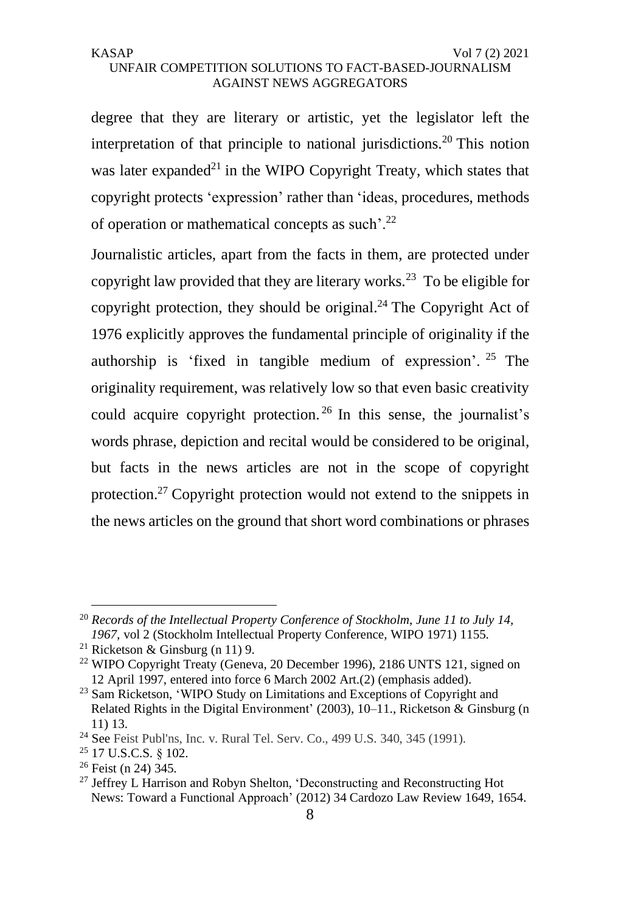degree that they are literary or artistic, yet the legislator left the interpretation of that principle to national jurisdictions.<sup>20</sup> This notion was later expanded<sup>21</sup> in the WIPO Copyright Treaty, which states that copyright protects 'expression' rather than 'ideas, procedures, methods of operation or mathematical concepts as such'.<sup>22</sup>

Journalistic articles, apart from the facts in them, are protected under copyright law provided that they are literary works.<sup>23</sup> To be eligible for copyright protection, they should be original. $^{24}$  The Copyright Act of 1976 explicitly approves the fundamental principle of originality if the authorship is 'fixed in tangible medium of expression'. <sup>25</sup> The originality requirement, was relatively low so that even basic creativity could acquire copyright protection.  $^{26}$  In this sense, the journalist's words phrase, depiction and recital would be considered to be original, but facts in the news articles are not in the scope of copyright protection.<sup>27</sup> Copyright protection would not extend to the snippets in the news articles on the ground that short word combinations or phrases

<sup>20</sup> *Records of the Intellectual Property Conference of Stockholm*, *June 11 to July 14, 1967,* vol 2 (Stockholm Intellectual Property Conference, WIPO 1971) 1155.

<sup>&</sup>lt;sup>21</sup> Ricketson & Ginsburg (n 11) 9.

<sup>&</sup>lt;sup>22</sup> WIPO Copyright Treaty (Geneva, 20 December 1996), 2186 UNTS 121, signed on 12 April 1997, entered into force 6 March 2002 Art.(2) (emphasis added).

<sup>&</sup>lt;sup>23</sup> Sam Ricketson, 'WIPO Study on Limitations and Exceptions of Copyright and Related Rights in the Digital Environment' (2003), 10–11., Ricketson & Ginsburg (n 11) 13.

<sup>24</sup> See Feist Publ'ns, Inc. v. Rural Tel. Serv. Co., 499 U.S. 340, 345 (1991).

<sup>25</sup> 17 U.S.C.S. § 102.

<sup>26</sup> Feist (n 24) 345.

<sup>&</sup>lt;sup>27</sup> Jeffrey L Harrison and Robyn Shelton, 'Deconstructing and Reconstructing Hot News: Toward a Functional Approach' (2012) 34 Cardozo Law Review 1649, 1654.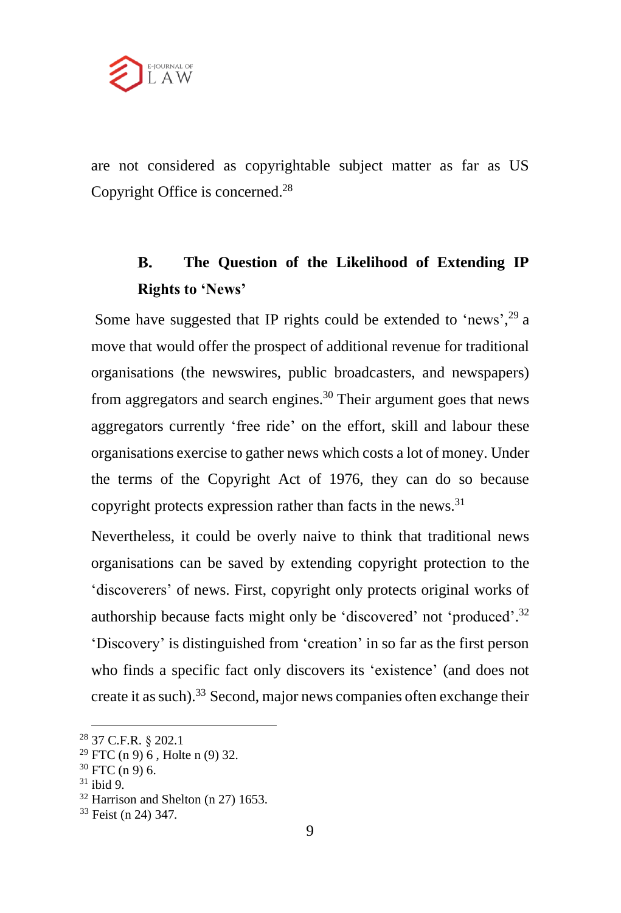

are not considered as copyrightable subject matter as far as US Copyright Office is concerned.<sup>28</sup>

### **B. The Question of the Likelihood of Extending IP Rights to 'News'**

Some have suggested that IP rights could be extended to 'news',  $29$  a move that would offer the prospect of additional revenue for traditional organisations (the newswires, public broadcasters, and newspapers) from aggregators and search engines.<sup>30</sup> Their argument goes that news aggregators currently 'free ride' on the effort, skill and labour these organisations exercise to gather news which costs a lot of money. Under the terms of the Copyright Act of 1976, they can do so because copyright protects expression rather than facts in the news.<sup>31</sup>

Nevertheless, it could be overly naive to think that traditional news organisations can be saved by extending copyright protection to the 'discoverers' of news. First, copyright only protects original works of authorship because facts might only be 'discovered' not 'produced'.<sup>32</sup> 'Discovery' is distinguished from 'creation' in so far as the first person who finds a specific fact only discovers its 'existence' (and does not create it as such). $33$  Second, major news companies often exchange their

<sup>28</sup> 37 C.F.R. § 202.1

 $29$  FTC (n 9) 6, Holte n (9) 32.

 $30$  FTC (n 9) 6.

<sup>31</sup> ibid 9.

<sup>32</sup> Harrison and Shelton (n 27) 1653.

<sup>33</sup> Feist (n 24) 347.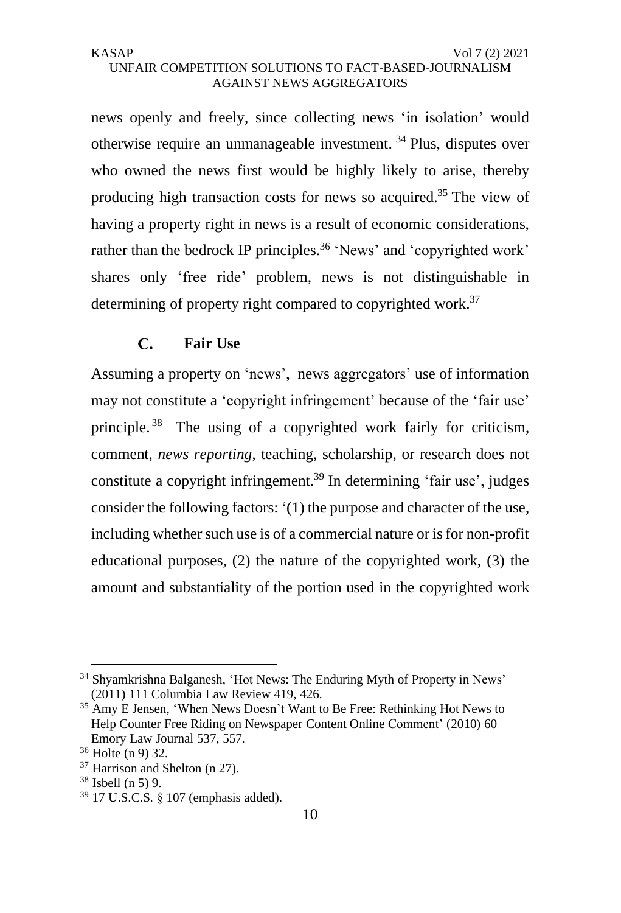# UNFAIR COMPETITION SOLUTIONS TO FACT-BASED-JOURNALISM AGAINST NEWS AGGREGATORS

news openly and freely, since collecting news 'in isolation' would otherwise require an unmanageable investment. <sup>34</sup> Plus, disputes over who owned the news first would be highly likely to arise, thereby producing high transaction costs for news so acquired.<sup>35</sup> The view of having a property right in news is a result of economic considerations, rather than the bedrock IP principles.<sup>36</sup> 'News' and 'copyrighted work' shares only 'free ride' problem, news is not distinguishable in determining of property right compared to copyrighted work.<sup>37</sup>

#### **Fair Use**  $\mathbf{C}$ .

Assuming a property on 'news', news aggregators' use of information may not constitute a 'copyright infringement' because of the 'fair use' principle. <sup>38</sup> The using of a copyrighted work fairly for criticism, comment, *news reporting,* teaching, scholarship, or research does not constitute a copyright infringement.<sup>39</sup> In determining 'fair use', judges consider the following factors: '(1) the purpose and character of the use, including whether such use is of a commercial nature or is for non-profit educational purposes, (2) the nature of the copyrighted work, (3) the amount and substantiality of the portion used in the copyrighted work

<sup>34</sup> Shyamkrishna Balganesh, 'Hot News: The Enduring Myth of Property in News' (2011) 111 Columbia Law Review 419, 426.

<sup>&</sup>lt;sup>35</sup> Amy E Jensen, 'When News Doesn't Want to Be Free: Rethinking Hot News to Help Counter Free Riding on Newspaper Content Online Comment' (2010) 60 Emory Law Journal 537, 557.

<sup>36</sup> Holte (n 9) 32.

<sup>37</sup> Harrison and Shelton (n 27).

<sup>38</sup> Isbell (n 5) 9.

<sup>39</sup> 17 U.S.C.S. § 107 (emphasis added).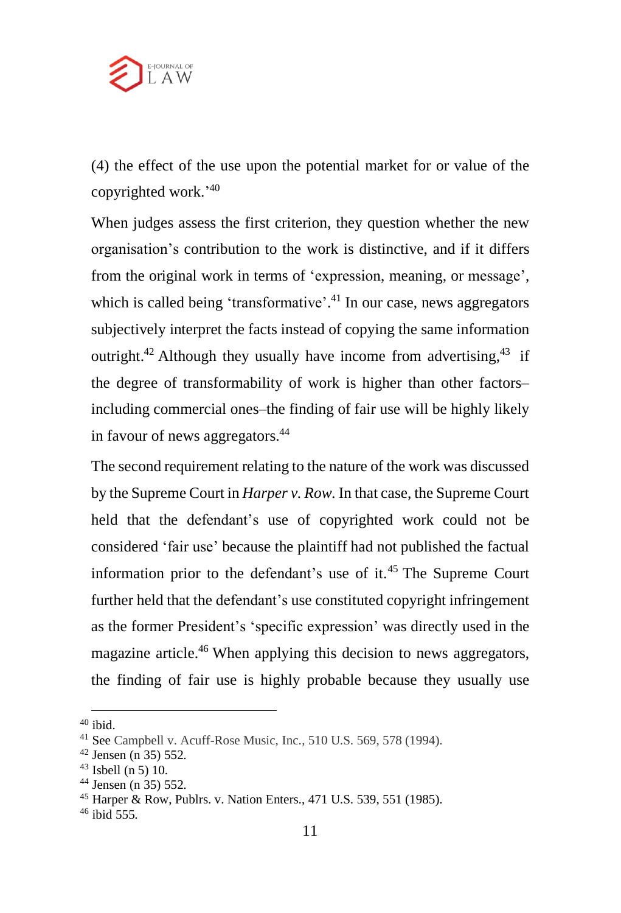

(4) the effect of the use upon the potential market for or value of the copyrighted work.' 40

When judges assess the first criterion, they question whether the new organisation's contribution to the work is distinctive, and if it differs from the original work in terms of 'expression, meaning, or message', which is called being 'transformative'.<sup>41</sup> In our case, news aggregators subjectively interpret the facts instead of copying the same information outright.<sup>42</sup> Although they usually have income from advertising,  $43$  if the degree of transformability of work is higher than other factors– including commercial ones–the finding of fair use will be highly likely in favour of news aggregators.<sup>44</sup>

The second requirement relating to the nature of the work was discussed by the Supreme Court in *Harper v. Row.* In that case, the Supreme Court held that the defendant's use of copyrighted work could not be considered 'fair use' because the plaintiff had not published the factual information prior to the defendant's use of it. <sup>45</sup> The Supreme Court further held that the defendant's use constituted copyright infringement as the former President's 'specific expression' was directly used in the magazine article.<sup>46</sup> When applying this decision to news aggregators, the finding of fair use is highly probable because they usually use

<sup>40</sup> ibid.

<sup>41</sup> See Campbell v. Acuff-Rose Music, Inc., 510 U.S. 569, 578 (1994).

<sup>42</sup> Jensen (n 35) 552.

 $43$  Isbell (n 5) 10.

<sup>44</sup> Jensen (n 35) 552.

<sup>45</sup> Harper & Row, Publrs. v. Nation Enters., 471 U.S. 539, 551 (1985).

<sup>46</sup> ibid 555.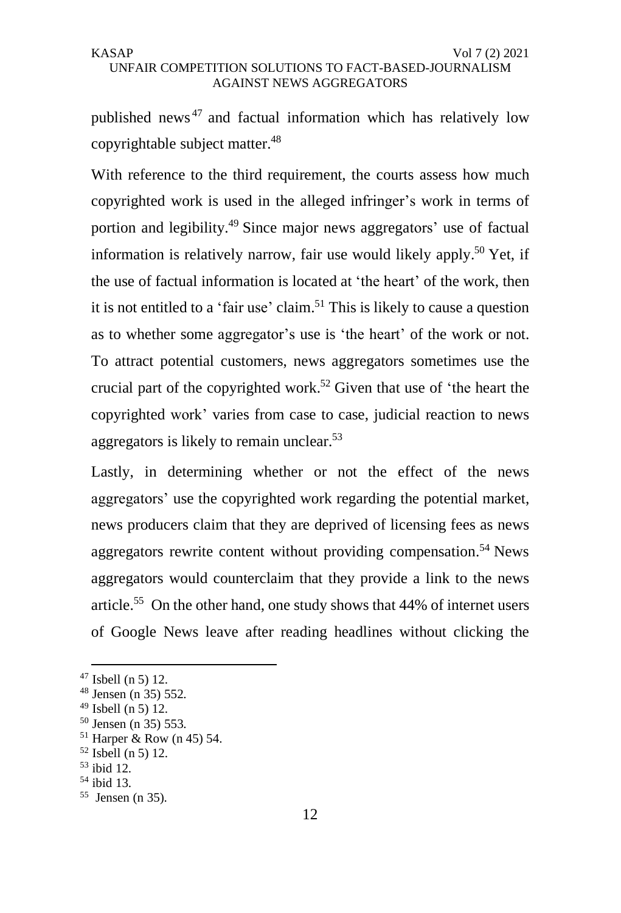published news <sup>47</sup> and factual information which has relatively low copyrightable subject matter.<sup>48</sup>

With reference to the third requirement, the courts assess how much copyrighted work is used in the alleged infringer's work in terms of portion and legibility.<sup>49</sup> Since major news aggregators' use of factual information is relatively narrow, fair use would likely apply. <sup>50</sup> Yet, if the use of factual information is located at 'the heart' of the work, then it is not entitled to a 'fair use' claim.<sup>51</sup> This is likely to cause a question as to whether some aggregator's use is 'the heart' of the work or not. To attract potential customers, news aggregators sometimes use the crucial part of the copyrighted work.<sup>52</sup> Given that use of 'the heart the copyrighted work' varies from case to case, judicial reaction to news aggregators is likely to remain unclear.<sup>53</sup>

Lastly, in determining whether or not the effect of the news aggregators' use the copyrighted work regarding the potential market, news producers claim that they are deprived of licensing fees as news aggregators rewrite content without providing compensation.<sup>54</sup> News aggregators would counterclaim that they provide a link to the news article.<sup>55</sup> On the other hand, one study shows that 44% of internet users of Google News leave after reading headlines without clicking the

 $47$  Isbell (n 5) 12.

<sup>48</sup> Jensen (n 35) 552.

 $49$  Isbell (n 5) 12.

<sup>50</sup> Jensen (n 35) 553.

 $51$  Harper & Row (n 45) 54.

<sup>52</sup> Isbell (n 5) 12.

<sup>53</sup> ibid 12.

<sup>54</sup> ibid 13.

<sup>55</sup> Jensen (n 35).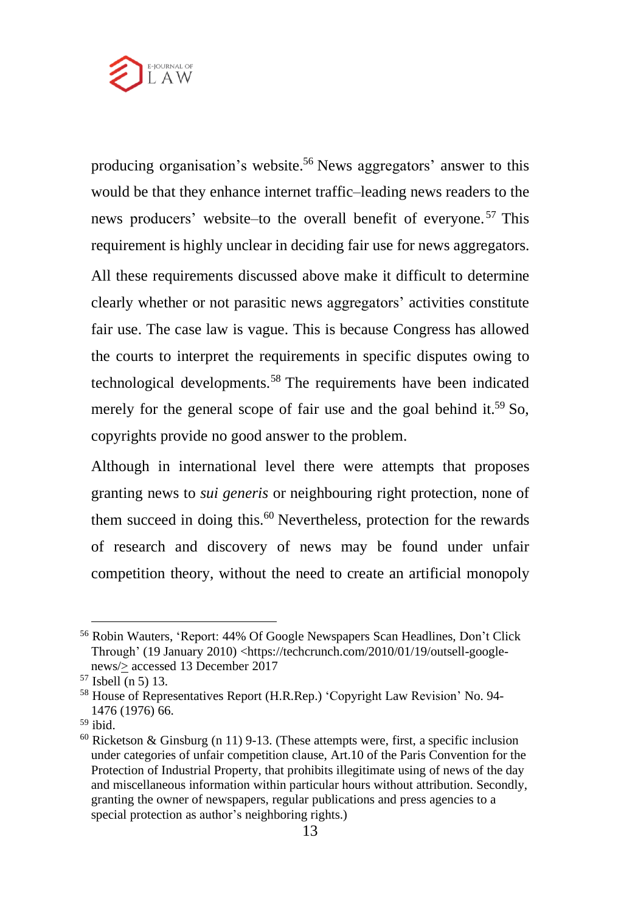

producing organisation's website.<sup>56</sup> News aggregators' answer to this would be that they enhance internet traffic–leading news readers to the news producers' website–to the overall benefit of everyone. <sup>57</sup> This requirement is highly unclear in deciding fair use for news aggregators.

All these requirements discussed above make it difficult to determine clearly whether or not parasitic news aggregators' activities constitute fair use. The case law is vague. This is because Congress has allowed the courts to interpret the requirements in specific disputes owing to technological developments.<sup>58</sup> The requirements have been indicated merely for the general scope of fair use and the goal behind it.<sup>59</sup> So, copyrights provide no good answer to the problem.

Although in international level there were attempts that proposes granting news to *sui generis* or neighbouring right protection, none of them succeed in doing this. $60$  Nevertheless, protection for the rewards of research and discovery of news may be found under unfair competition theory, without the need to create an artificial monopoly

<sup>56</sup> Robin Wauters, 'Report: 44% Of Google Newspapers Scan Headlines, Don't Click Through' (19 January 2010) <https://techcrunch.com/2010/01/19/outsell-googlenews/> accessed 13 December 2017

<sup>57</sup> Isbell (n 5) 13.

<sup>58</sup> House of Representatives Report (H.R.Rep.) 'Copyright Law Revision' No. 94- 1476 (1976) 66.

<sup>59</sup> ibid.

 $60$  Ricketson & Ginsburg (n 11) 9-13. (These attempts were, first, a specific inclusion under categories of unfair competition clause, Art.10 of the Paris Convention for the Protection of Industrial Property, that prohibits illegitimate using of news of the day and miscellaneous information within particular hours without attribution. Secondly, granting the owner of newspapers, regular publications and press agencies to a special protection as author's neighboring rights.)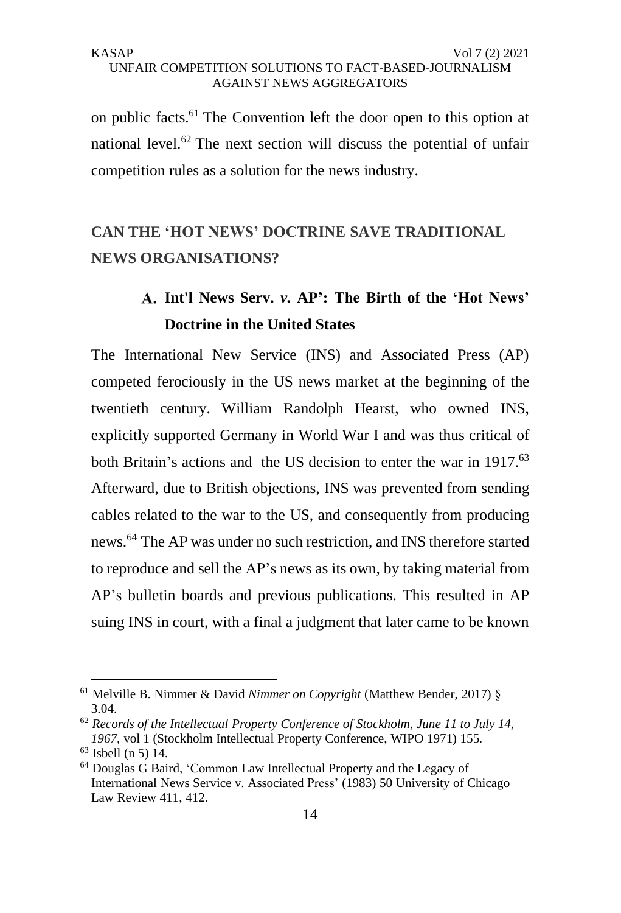on public facts.<sup>61</sup> The Convention left the door open to this option at national level.<sup>62</sup> The next section will discuss the potential of unfair competition rules as a solution for the news industry.

# **CAN THE 'HOT NEWS' DOCTRINE SAVE TRADITIONAL NEWS ORGANISATIONS?**

# **Int'l News Serv.** *v.* **AP': The Birth of the 'Hot News' Doctrine in the United States**

The International New Service (INS) and Associated Press (AP) competed ferociously in the US news market at the beginning of the twentieth century. William Randolph Hearst, who owned INS, explicitly supported Germany in World War I and was thus critical of both Britain's actions and the US decision to enter the war in 1917.<sup>63</sup> Afterward, due to British objections, INS was prevented from sending cables related to the war to the US, and consequently from producing news.<sup>64</sup> The AP was under no such restriction, and INS therefore started to reproduce and sell the AP's news as its own, by taking material from AP's bulletin boards and previous publications. This resulted in AP suing INS in court, with a final a judgment that later came to be known

<sup>61</sup> Melville B. Nimmer & David *Nimmer on Copyright* (Matthew Bender, 2017) § 3.04.

<sup>62</sup> *Records of the Intellectual Property Conference of Stockholm*, *June 11 to July 14, 1967,* vol 1 (Stockholm Intellectual Property Conference, WIPO 1971) 155.

<sup>63</sup> Isbell (n 5) 14.

<sup>64</sup> Douglas G Baird, 'Common Law Intellectual Property and the Legacy of International News Service v. Associated Press' (1983) 50 University of Chicago Law Review 411, 412.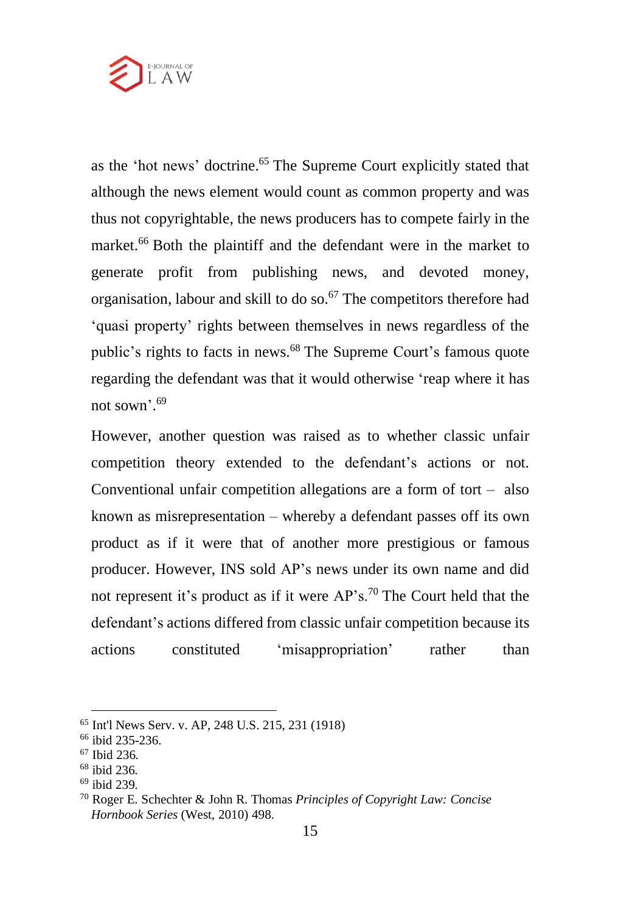

as the 'hot news' doctrine. <sup>65</sup> The Supreme Court explicitly stated that although the news element would count as common property and was thus not copyrightable, the news producers has to compete fairly in the market.<sup>66</sup> Both the plaintiff and the defendant were in the market to generate profit from publishing news, and devoted money, organisation, labour and skill to do so. <sup>67</sup> The competitors therefore had 'quasi property' rights between themselves in news regardless of the public's rights to facts in news.<sup>68</sup> The Supreme Court's famous quote regarding the defendant was that it would otherwise 'reap where it has not sown'. 69

However, another question was raised as to whether classic unfair competition theory extended to the defendant's actions or not. Conventional unfair competition allegations are a form of tort – also known as misrepresentation – whereby a defendant passes off its own product as if it were that of another more prestigious or famous producer. However, INS sold AP's news under its own name and did not represent it's product as if it were AP's.<sup>70</sup> The Court held that the defendant's actions differed from classic unfair competition because its actions constituted 'misappropriation' rather than

<sup>65</sup> Int'l News Serv. v. AP, 248 U.S. 215, 231 (1918)

<sup>66</sup> ibid 235-236.

<sup>67</sup> Ibid 236.

<sup>68</sup> ibid 236.

<sup>69</sup> ibid 239.

<sup>70</sup> Roger E. Schechter & John R. Thomas *Principles of Copyright Law: Concise Hornbook Series* (West, 2010) 498.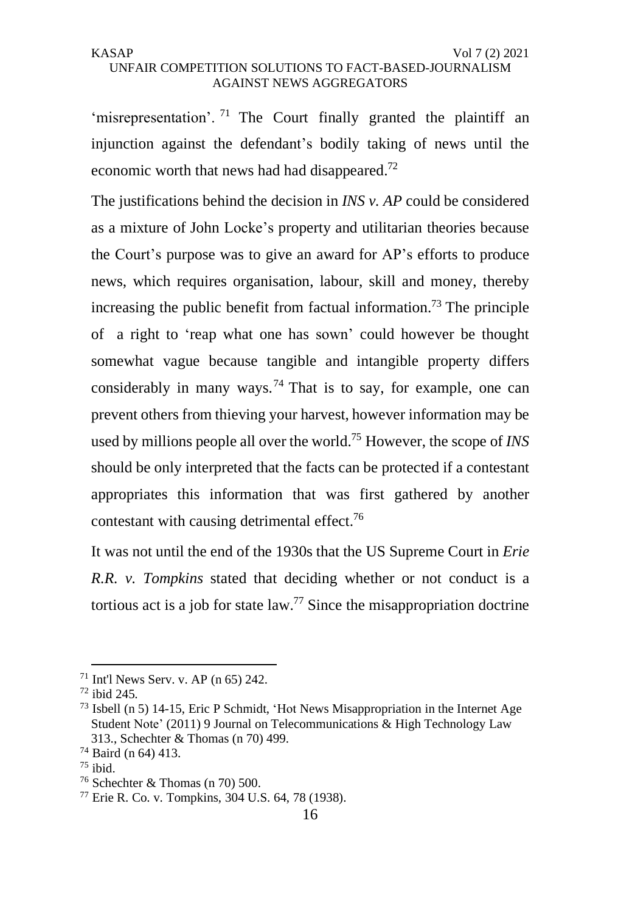'misrepresentation'. <sup>71</sup> The Court finally granted the plaintiff an injunction against the defendant's bodily taking of news until the economic worth that news had had disappeared.<sup>72</sup>

The justifications behind the decision in *INS v. AP* could be considered as a mixture of John Locke's property and utilitarian theories because the Court's purpose was to give an award for AP's efforts to produce news, which requires organisation, labour, skill and money, thereby increasing the public benefit from factual information.<sup>73</sup> The principle of a right to 'reap what one has sown' could however be thought somewhat vague because tangible and intangible property differs considerably in many ways.<sup>74</sup> That is to say, for example, one can prevent others from thieving your harvest, however information may be used by millions people all over the world.<sup>75</sup> However, the scope of *INS* should be only interpreted that the facts can be protected if a contestant appropriates this information that was first gathered by another contestant with causing detrimental effect.<sup>76</sup>

It was not until the end of the 1930s that the US Supreme Court in *Erie R.R. v. Tompkins* stated that deciding whether or not conduct is a tortious act is a job for state law.<sup>77</sup> Since the misappropriation doctrine

 $71$  Int'l News Serv. v. AP (n 65) 242.

<sup>72</sup> ibid 245.

<sup>73</sup> Isbell (n 5) 14-15, Eric P Schmidt, 'Hot News Misappropriation in the Internet Age Student Note' (2011) 9 Journal on Telecommunications & High Technology Law 313., Schechter & Thomas (n 70) 499.

<sup>74</sup> Baird (n 64) 413.

 $75$  ibid.

<sup>76</sup> Schechter & Thomas (n 70) 500.

<sup>77</sup> Erie R. Co. v. Tompkins, 304 U.S. 64, 78 (1938).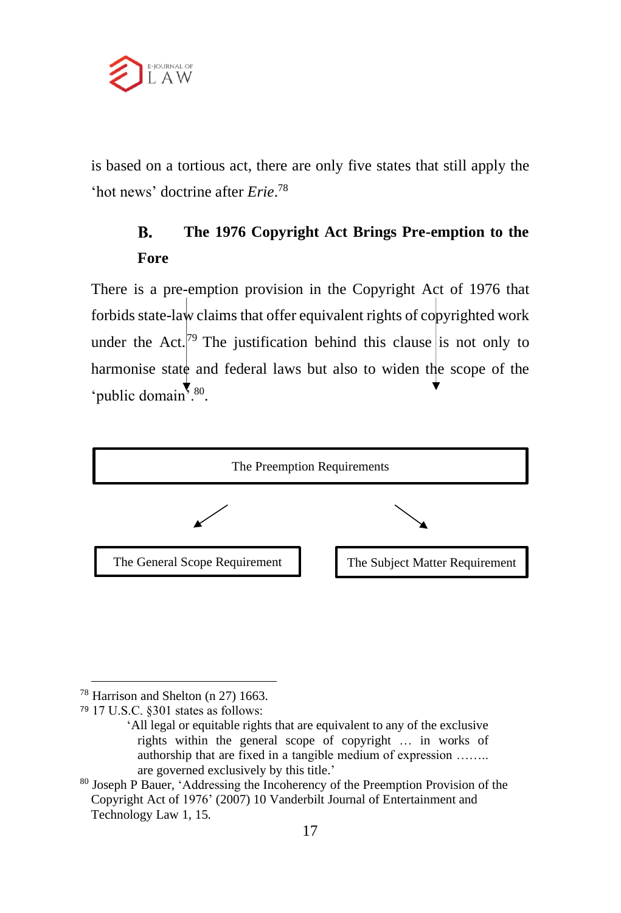

is based on a tortious act, there are only five states that still apply the 'hot news' doctrine after *Erie*. 78

#### **The 1976 Copyright Act Brings Pre-emption to the**  B. **Fore**

There is a pre-emption provision in the Copyright Act of 1976 that forbids state-law claims that offer equivalent rights of copyrighted work under the Act.<sup>[79</sup> The justification behind this clause is not only to harmonise state and federal laws but also to widen the scope of the 'public domain'.<sup>80</sup>.



<sup>78</sup> Harrison and Shelton (n 27) 1663.

<sup>79</sup> 17 U.S.C. §301 states as follows:

<sup>&#</sup>x27;All legal or equitable rights that are equivalent to any of the exclusive rights within the general scope of copyright … in works of authorship that are fixed in a tangible medium of expression …….. are governed exclusively by this title.'

<sup>80</sup> Joseph P Bauer, 'Addressing the Incoherency of the Preemption Provision of the Copyright Act of 1976' (2007) 10 Vanderbilt Journal of Entertainment and Technology Law 1, 15.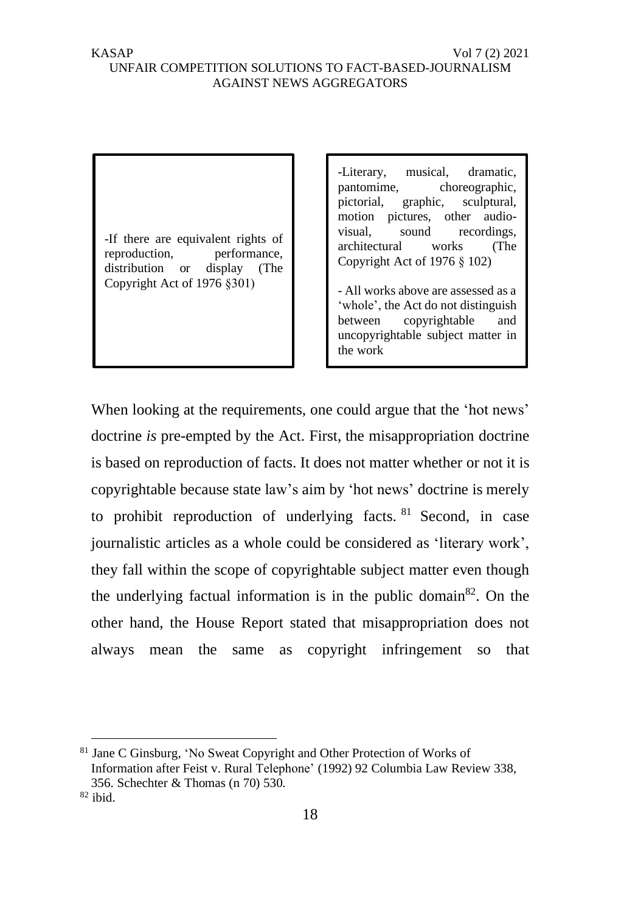# UNFAIR COMPETITION SOLUTIONS TO FACT-BASED-JOURNALISM AGAINST NEWS AGGREGATORS

-If there are equivalent rights of reproduction, performance, distribution or display (The Copyright Act of 1976 §301)

-Literary, musical, dramatic, pantomime, choreographic, pictorial, graphic, sculptural, motion pictures, other audiovisual, sound recordings, architectural works (The Copyright Act of 1976 § 102)

- All works above are assessed as a 'whole', the Act do not distinguish between copyrightable and uncopyrightable subject matter in the work

When looking at the requirements, one could argue that the 'hot news' doctrine *is* pre-empted by the Act. First, the misappropriation doctrine is based on reproduction of facts. It does not matter whether or not it is copyrightable because state law's aim by 'hot news' doctrine is merely to prohibit reproduction of underlying facts.  $81$  Second, in case journalistic articles as a whole could be considered as 'literary work', they fall within the scope of copyrightable subject matter even though the underlying factual information is in the public domain<sup>82</sup>. On the other hand, the House Report stated that misappropriation does not always mean the same as copyright infringement so that

Jane C Ginsburg, 'No Sweat Copyright and Other Protection of Works of Information after Feist v. Rural Telephone' (1992) 92 Columbia Law Review 338, 356. Schechter & Thomas (n 70) 530.

<sup>82</sup> ibid.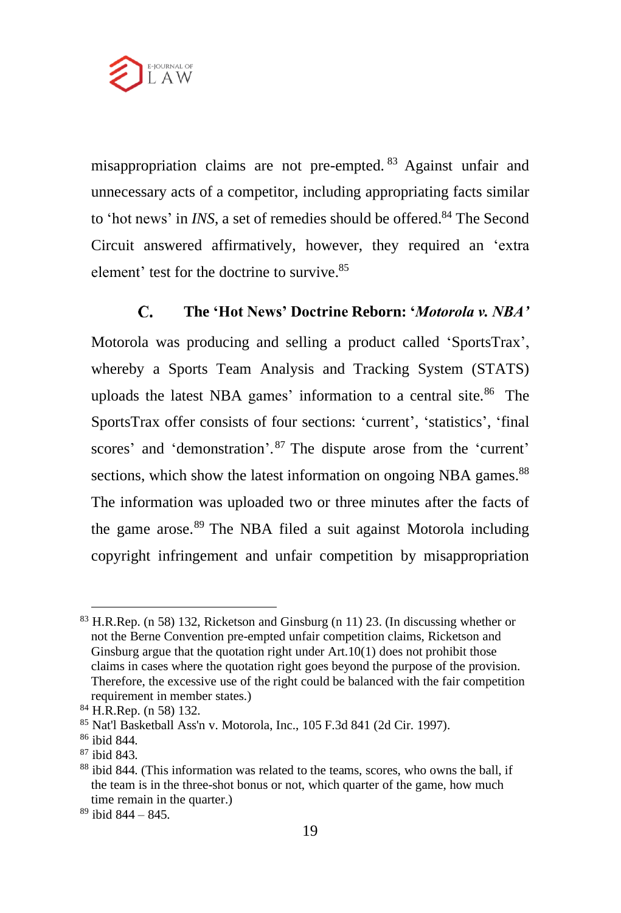

misappropriation claims are not pre-empted. <sup>83</sup> Against unfair and unnecessary acts of a competitor, including appropriating facts similar to 'hot news' in *INS*, a set of remedies should be offered.<sup>84</sup> The Second Circuit answered affirmatively, however, they required an 'extra element' test for the doctrine to survive.<sup>85</sup>

#### $\mathbf{C}$ **The 'Hot News' Doctrine Reborn: '***Motorola v. NBA'*

Motorola was producing and selling a product called 'SportsTrax', whereby a Sports Team Analysis and Tracking System (STATS) uploads the latest NBA games' information to a central site.<sup>86</sup> The SportsTrax offer consists of four sections: 'current', 'statistics', 'final scores' and 'demonstration'.<sup>87</sup> The dispute arose from the 'current' sections, which show the latest information on ongoing NBA games.<sup>88</sup> The information was uploaded two or three minutes after the facts of the game arose.<sup>89</sup> The NBA filed a suit against Motorola including copyright infringement and unfair competition by misappropriation

 $89$  ibid  $844 - 845$ .

<sup>83</sup> H.R.Rep. (n 58) 132, Ricketson and Ginsburg (n 11) 23. (In discussing whether or not the Berne Convention pre-empted unfair competition claims, Ricketson and Ginsburg argue that the quotation right under Art.10(1) does not prohibit those claims in cases where the quotation right goes beyond the purpose of the provision. Therefore, the excessive use of the right could be balanced with the fair competition requirement in member states.)

<sup>84</sup> H.R.Rep. (n 58) 132.

<sup>85</sup> Nat'l Basketball Ass'n v. Motorola, Inc., 105 F.3d 841 (2d Cir. 1997).

<sup>86</sup> ibid 844.

<sup>87</sup> ibid 843.

<sup>&</sup>lt;sup>88</sup> ibid 844. (This information was related to the teams, scores, who owns the ball, if the team is in the three-shot bonus or not, which quarter of the game, how much time remain in the quarter.)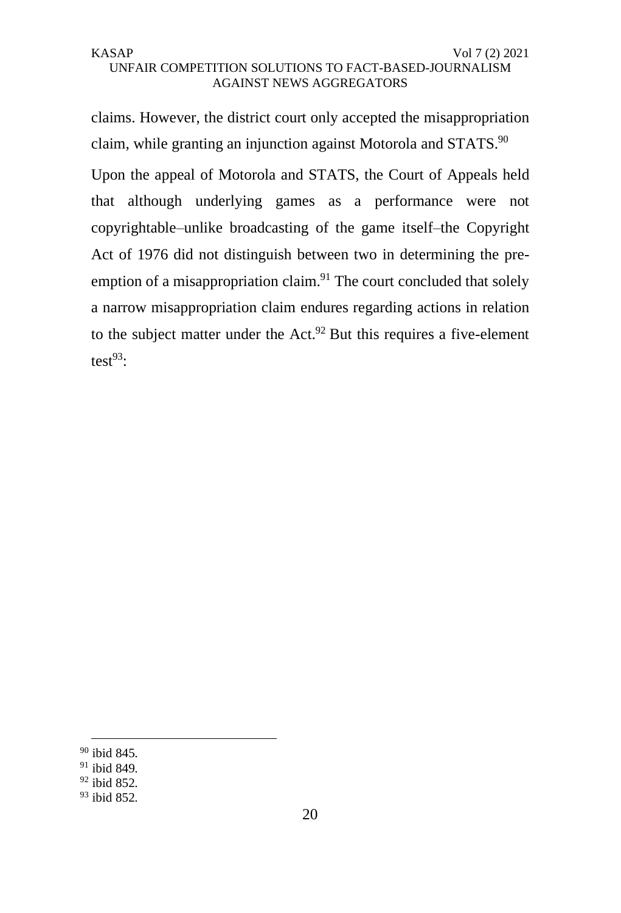claims. However, the district court only accepted the misappropriation claim, while granting an injunction against Motorola and STATS.<sup>90</sup> Upon the appeal of Motorola and STATS, the Court of Appeals held that although underlying games as a performance were not copyrightable–unlike broadcasting of the game itself–the Copyright Act of 1976 did not distinguish between two in determining the preemption of a misappropriation claim.<sup>91</sup> The court concluded that solely a narrow misappropriation claim endures regarding actions in relation to the subject matter under the Act. $92$  But this requires a five-element test $^{93}$ :

<sup>90</sup> ibid 845.

<sup>91</sup> ibid 849.

<sup>92</sup> ibid 852.

<sup>93</sup> ibid 852.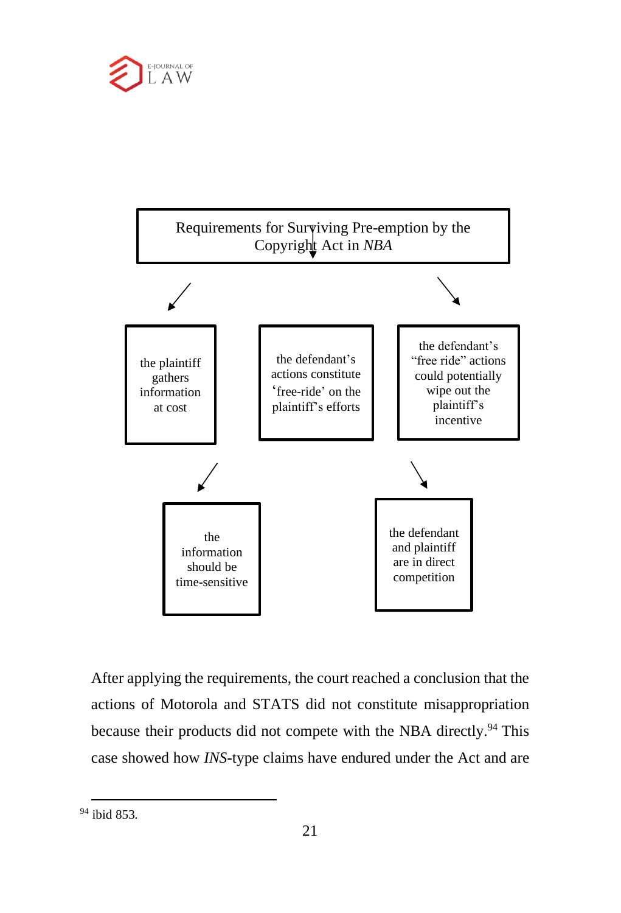



After applying the requirements, the court reached a conclusion that the actions of Motorola and STATS did not constitute misappropriation because their products did not compete with the NBA directly.<sup>94</sup> This case showed how *INS*-type claims have endured under the Act and are

<sup>94</sup> ibid 853.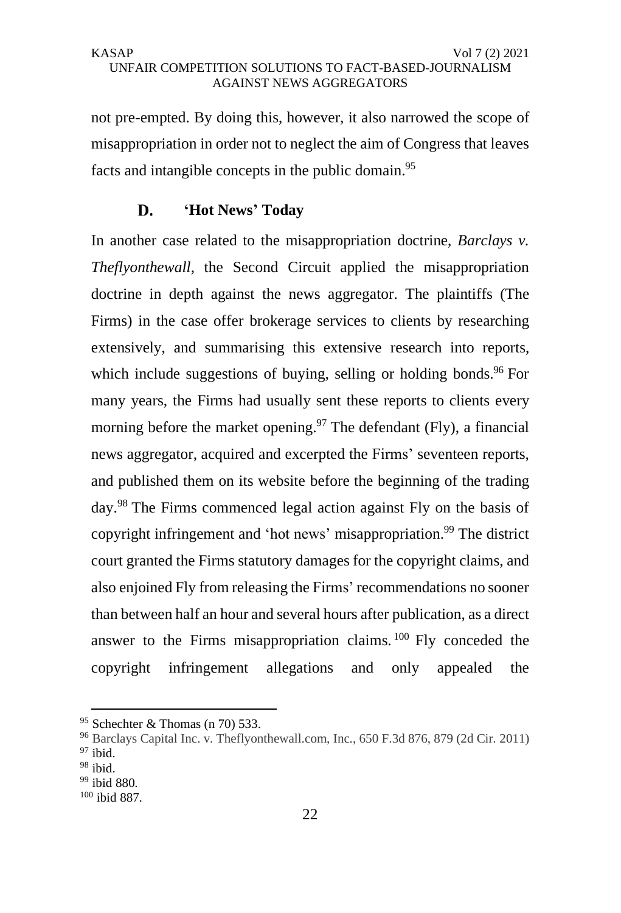not pre-empted. By doing this, however, it also narrowed the scope of misappropriation in order not to neglect the aim of Congress that leaves facts and intangible concepts in the public domain.<sup>95</sup>

#### D. **'Hot News' Today**

In another case related to the misappropriation doctrine, *Barclays v. Theflyonthewall,* the Second Circuit applied the misappropriation doctrine in depth against the news aggregator. The plaintiffs (The Firms) in the case offer brokerage services to clients by researching extensively, and summarising this extensive research into reports, which include suggestions of buying, selling or holding bonds.<sup>96</sup> For many years, the Firms had usually sent these reports to clients every morning before the market opening.<sup>97</sup> The defendant (Fly), a financial news aggregator, acquired and excerpted the Firms' seventeen reports, and published them on its website before the beginning of the trading day.<sup>98</sup> The Firms commenced legal action against Fly on the basis of copyright infringement and 'hot news' misappropriation.<sup>99</sup> The district court granted the Firms statutory damages for the copyright claims, and also enjoined Fly from releasing the Firms' recommendations no sooner than between half an hour and several hours after publication, as a direct answer to the Firms misappropriation claims. <sup>100</sup> Fly conceded the copyright infringement allegations and only appealed the

 $95$  Schechter & Thomas (n 70) 533.

<sup>96</sup> Barclays Capital Inc. v. Theflyonthewall.com, Inc., 650 F.3d 876, 879 (2d Cir. 2011) <sup>97</sup> ibid.

 $98$  ibid.

<sup>99</sup> ibid 880.

<sup>100</sup> ibid 887.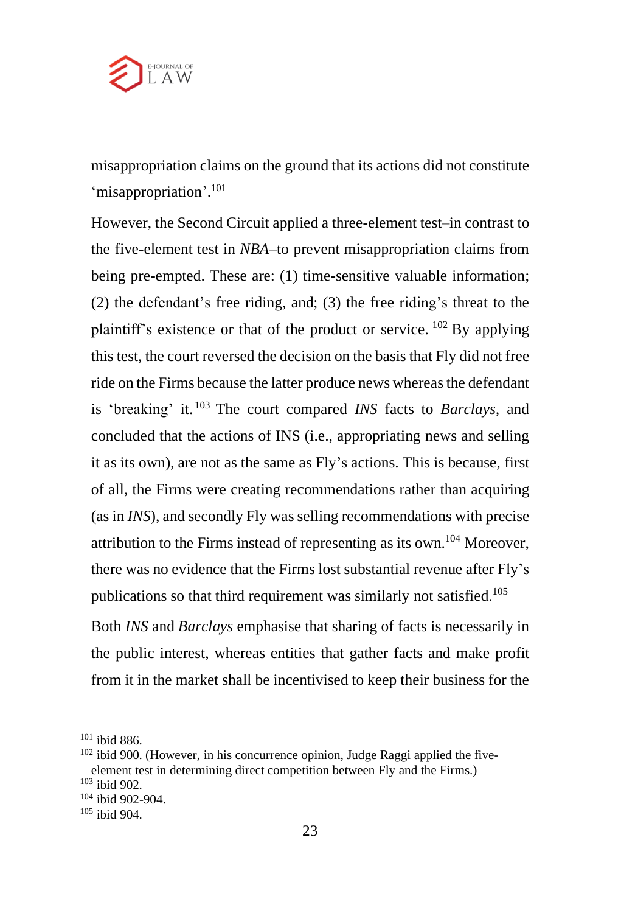

misappropriation claims on the ground that its actions did not constitute 'misappropriation'. 101

However, the Second Circuit applied a three-element test–in contrast to the five-element test in *NBA*–to prevent misappropriation claims from being pre-empted. These are: (1) time-sensitive valuable information; (2) the defendant's free riding, and; (3) the free riding's threat to the plaintiff's existence or that of the product or service. <sup>102</sup> By applying this test, the court reversed the decision on the basis that Fly did not free ride on the Firms because the latter produce news whereas the defendant is 'breaking' it. <sup>103</sup> The court compared *INS* facts to *Barclays,* and concluded that the actions of INS (i.e., appropriating news and selling it as its own), are not as the same as Fly's actions. This is because, first of all, the Firms were creating recommendations rather than acquiring (as in *INS*), and secondly Fly was selling recommendations with precise attribution to the Firms instead of representing as its own.<sup>104</sup> Moreover, there was no evidence that the Firms lost substantial revenue after Fly's publications so that third requirement was similarly not satisfied.<sup>105</sup>

Both *INS* and *Barclays* emphasise that sharing of facts is necessarily in the public interest, whereas entities that gather facts and make profit from it in the market shall be incentivised to keep their business for the

<sup>101</sup> ibid 886.

 $102$  ibid 900. (However, in his concurrence opinion, Judge Raggi applied the fiveelement test in determining direct competition between Fly and the Firms.) <sup>103</sup> ibid 902.

<sup>104</sup> ibid 902-904.

 $105$  ibid 904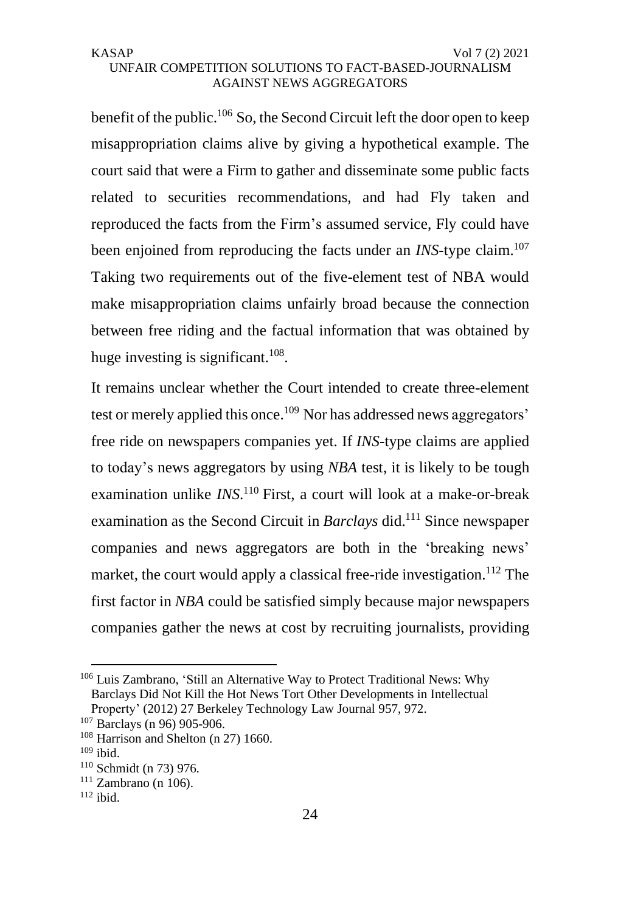benefit of the public.<sup>106</sup> So, the Second Circuit left the door open to keep misappropriation claims alive by giving a hypothetical example. The court said that were a Firm to gather and disseminate some public facts related to securities recommendations, and had Fly taken and reproduced the facts from the Firm's assumed service, Fly could have been enjoined from reproducing the facts under an *INS*-type claim.<sup>107</sup> Taking two requirements out of the five-element test of NBA would make misappropriation claims unfairly broad because the connection between free riding and the factual information that was obtained by huge investing is significant. $108$ .

It remains unclear whether the Court intended to create three-element test or merely applied this once.<sup>109</sup> Nor has addressed news aggregators' free ride on newspapers companies yet. If *INS*-type claims are applied to today's news aggregators by using *NBA* test, it is likely to be tough examination unlike *INS*.<sup>110</sup> First, a court will look at a make-or-break examination as the Second Circuit in *Barclays* did.<sup>111</sup> Since newspaper companies and news aggregators are both in the 'breaking news' market, the court would apply a classical free-ride investigation.<sup>112</sup> The first factor in *NBA* could be satisfied simply because major newspapers companies gather the news at cost by recruiting journalists, providing

<sup>&</sup>lt;sup>106</sup> Luis Zambrano, 'Still an Alternative Way to Protect Traditional News: Why Barclays Did Not Kill the Hot News Tort Other Developments in Intellectual Property' (2012) 27 Berkeley Technology Law Journal 957, 972.

<sup>107</sup> Barclays (n 96) 905-906.

 $108$  Harrison and Shelton (n 27) 1660.

<sup>109</sup> ibid.

<sup>110</sup> Schmidt (n 73) 976.

 $111$  Zambrano (n 106).

 $112$  ibid.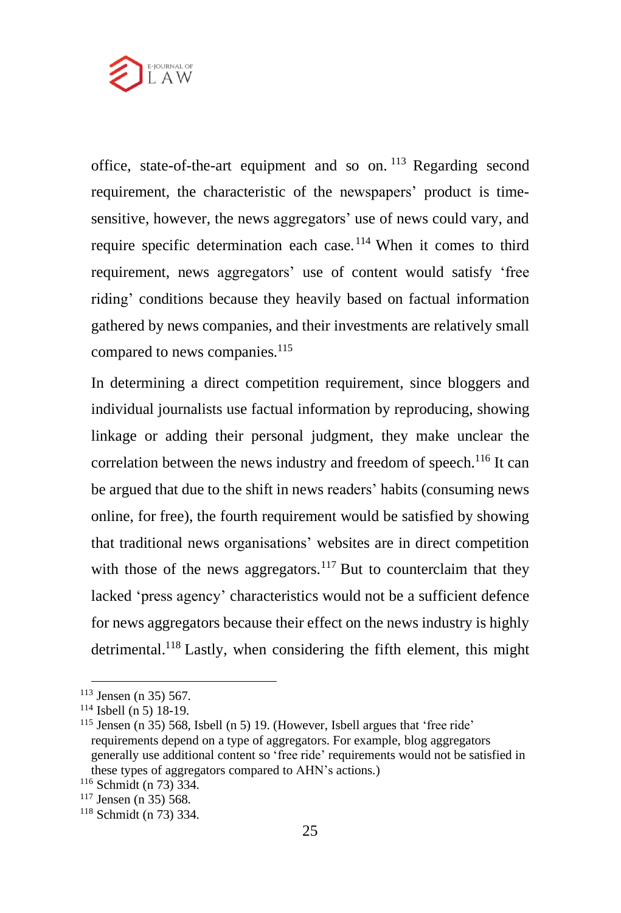

office, state-of-the-art equipment and so on. <sup>113</sup> Regarding second requirement, the characteristic of the newspapers' product is timesensitive, however, the news aggregators' use of news could vary, and require specific determination each case.<sup>114</sup> When it comes to third requirement, news aggregators' use of content would satisfy 'free riding' conditions because they heavily based on factual information gathered by news companies, and their investments are relatively small compared to news companies.<sup>115</sup>

In determining a direct competition requirement, since bloggers and individual journalists use factual information by reproducing, showing linkage or adding their personal judgment, they make unclear the correlation between the news industry and freedom of speech.<sup>116</sup> It can be argued that due to the shift in news readers' habits (consuming news online, for free), the fourth requirement would be satisfied by showing that traditional news organisations' websites are in direct competition with those of the news aggregators.<sup>117</sup> But to counterclaim that they lacked 'press agency' characteristics would not be a sufficient defence for news aggregators because their effect on the news industry is highly detrimental.<sup>118</sup> Lastly, when considering the fifth element, this might

<sup>113</sup> Jensen (n 35) 567.

 $114$  Isbell (n 5) 18-19.

<sup>115</sup> Jensen (n 35) 568, Isbell (n 5) 19. (However, Isbell argues that 'free ride' requirements depend on a type of aggregators. For example, blog aggregators generally use additional content so 'free ride' requirements would not be satisfied in these types of aggregators compared to AHN's actions.)

<sup>116</sup> Schmidt (n 73) 334.

<sup>117</sup> Jensen (n 35) 568.

<sup>118</sup> Schmidt (n 73) 334.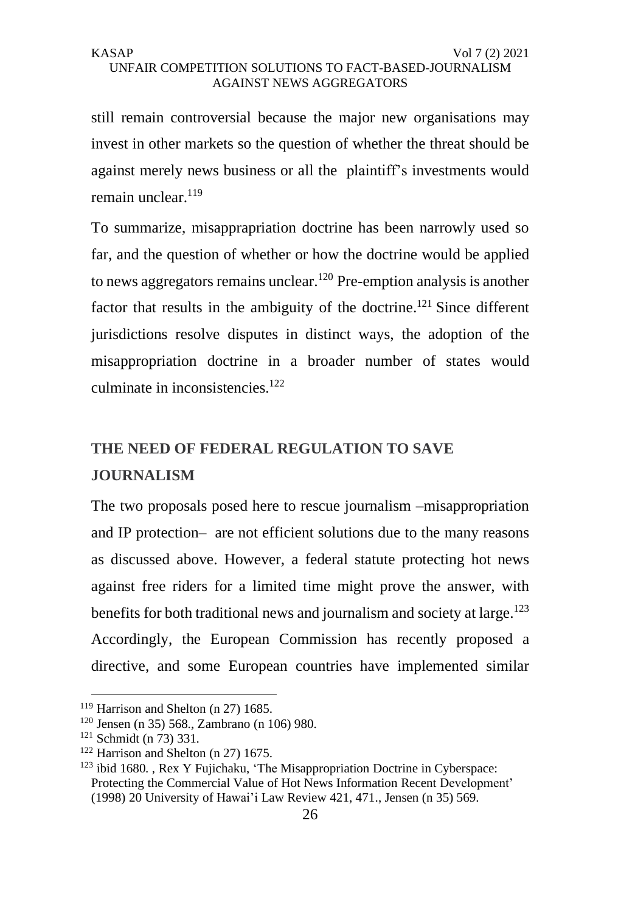still remain controversial because the major new organisations may invest in other markets so the question of whether the threat should be against merely news business or all the plaintiff's investments would remain unclear.<sup>119</sup>

To summarize, misapprapriation doctrine has been narrowly used so far, and the question of whether or how the doctrine would be applied to news aggregators remains unclear.<sup>120</sup> Pre-emption analysis is another factor that results in the ambiguity of the doctrine.<sup>121</sup> Since different jurisdictions resolve disputes in distinct ways, the adoption of the misappropriation doctrine in a broader number of states would culminate in inconsistencies.<sup>122</sup>

# **THE NEED OF FEDERAL REGULATION TO SAVE JOURNALISM**

The two proposals posed here to rescue journalism –misappropriation and IP protection– are not efficient solutions due to the many reasons as discussed above. However, a federal statute protecting hot news against free riders for a limited time might prove the answer, with benefits for both traditional news and journalism and society at large.<sup>123</sup> Accordingly, the European Commission has recently proposed a directive, and some European countries have implemented similar

<sup>119</sup> Harrison and Shelton (n 27) 1685.

 $120$  Jensen (n 35) 568., Zambrano (n 106) 980.

 $121$  Schmidt (n 73) 331.

<sup>122</sup> Harrison and Shelton (n 27) 1675.

 $123$  ibid 1680., Rex Y Fujichaku, 'The Misappropriation Doctrine in Cyberspace: Protecting the Commercial Value of Hot News Information Recent Development' (1998) 20 University of Hawai'i Law Review 421, 471., Jensen (n 35) 569.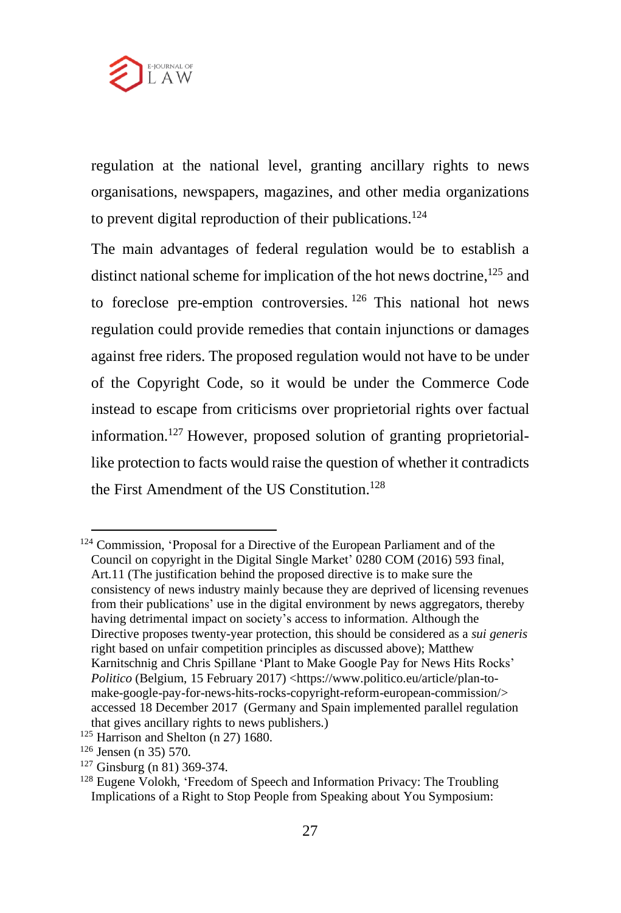

regulation at the national level, granting ancillary rights to news organisations, newspapers, magazines, and other media organizations to prevent digital reproduction of their publications.<sup>124</sup>

The main advantages of federal regulation would be to establish a distinct national scheme for implication of the hot news doctrine,<sup>125</sup> and to foreclose pre-emption controversies. <sup>126</sup> This national hot news regulation could provide remedies that contain injunctions or damages against free riders. The proposed regulation would not have to be under of the Copyright Code, so it would be under the Commerce Code instead to escape from criticisms over proprietorial rights over factual information.<sup>127</sup> However, proposed solution of granting proprietoriallike protection to facts would raise the question of whether it contradicts the First Amendment of the US Constitution. 128

<sup>124</sup> Commission, 'Proposal for a Directive of the European Parliament and of the Council on copyright in the Digital Single Market' 0280 COM (2016) 593 final, Art.11 (The justification behind the proposed directive is to make sure the consistency of news industry mainly because they are deprived of licensing revenues from their publications' use in the digital environment by news aggregators, thereby having detrimental impact on society's access to information. Although the Directive proposes twenty-year protection, this should be considered as a *sui generis* right based on unfair competition principles as discussed above); Matthew Karnitschnig and Chris Spillane 'Plant to Make Google Pay for News Hits Rocks' Politico (Belgium, 15 February 2017) <https://www.politico.eu/article/plan-tomake-google-pay-for-news-hits-rocks-copyright-reform-european-commission/> accessed 18 December 2017 (Germany and Spain implemented parallel regulation that gives ancillary rights to news publishers.)

<sup>&</sup>lt;sup>125</sup> Harrison and Shelton (n 27) 1680.

 $126$  Jensen (n 35) 570.

 $127$  Ginsburg (n 81) 369-374.

<sup>&</sup>lt;sup>128</sup> Eugene Volokh, 'Freedom of Speech and Information Privacy: The Troubling Implications of a Right to Stop People from Speaking about You Symposium: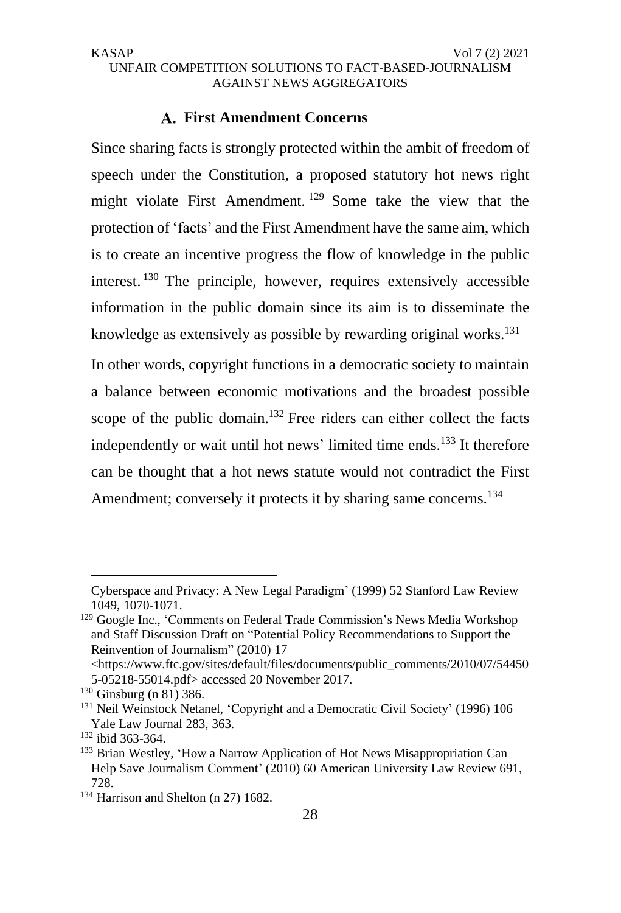# **First Amendment Concerns**

Since sharing facts is strongly protected within the ambit of freedom of speech under the Constitution, a proposed statutory hot news right might violate First Amendment. <sup>129</sup> Some take the view that the protection of 'facts' and the First Amendment have the same aim, which is to create an incentive progress the flow of knowledge in the public interest. <sup>130</sup> The principle, however, requires extensively accessible information in the public domain since its aim is to disseminate the knowledge as extensively as possible by rewarding original works.<sup>131</sup>

In other words, copyright functions in a democratic society to maintain a balance between economic motivations and the broadest possible scope of the public domain.<sup>132</sup> Free riders can either collect the facts independently or wait until hot news' limited time ends.<sup>133</sup> It therefore can be thought that a hot news statute would not contradict the First Amendment; conversely it protects it by sharing same concerns.<sup>134</sup>

Cyberspace and Privacy: A New Legal Paradigm' (1999) 52 Stanford Law Review 1049, 1070-1071.

<sup>129</sup> Google Inc., 'Comments on Federal Trade Commission's News Media Workshop and Staff Discussion Draft on "Potential Policy Recommendations to Support the Reinvention of Journalism" (2010) 17

<sup>&</sup>lt;https://www.ftc.gov/sites/default/files/documents/public\_comments/2010/07/54450 5-05218-55014.pdf> accessed 20 November 2017.

 $130$  Ginsburg (n 81) 386.

<sup>131</sup> Neil Weinstock Netanel, 'Copyright and a Democratic Civil Society' (1996) 106 Yale Law Journal 283, 363.

<sup>132</sup> ibid 363-364.

<sup>&</sup>lt;sup>133</sup> Brian Westley, 'How a Narrow Application of Hot News Misappropriation Can Help Save Journalism Comment' (2010) 60 American University Law Review 691, 728.

<sup>&</sup>lt;sup>134</sup> Harrison and Shelton (n 27) 1682.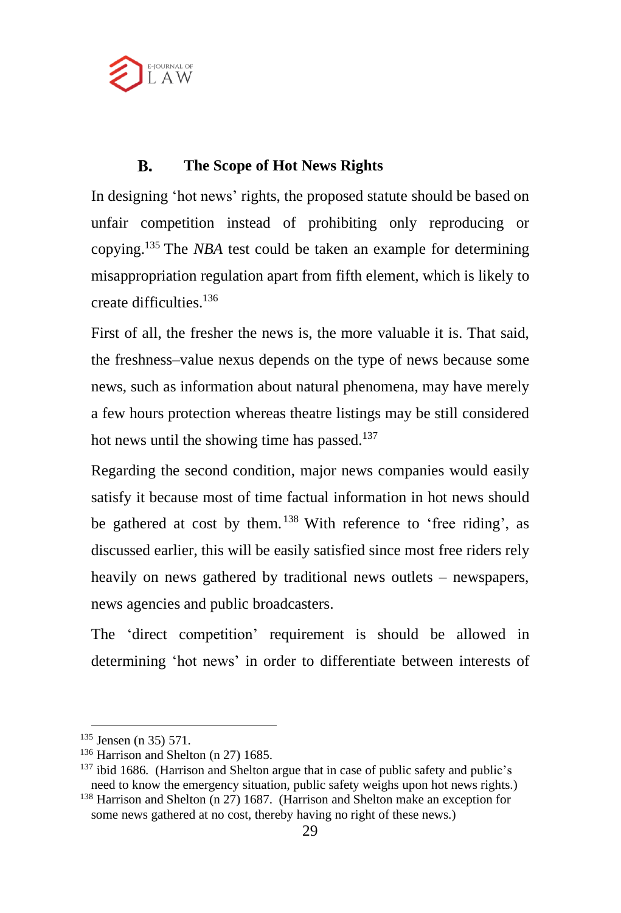

#### **B. The Scope of Hot News Rights**

In designing 'hot news' rights, the proposed statute should be based on unfair competition instead of prohibiting only reproducing or copying.<sup>135</sup> The *NBA* test could be taken an example for determining misappropriation regulation apart from fifth element, which is likely to create difficulties.<sup>136</sup>

First of all, the fresher the news is, the more valuable it is. That said, the freshness–value nexus depends on the type of news because some news, such as information about natural phenomena, may have merely a few hours protection whereas theatre listings may be still considered hot news until the showing time has passed.<sup>137</sup>

Regarding the second condition, major news companies would easily satisfy it because most of time factual information in hot news should be gathered at cost by them.<sup>138</sup> With reference to 'free riding', as discussed earlier, this will be easily satisfied since most free riders rely heavily on news gathered by traditional news outlets – newspapers, news agencies and public broadcasters.

The 'direct competition' requirement is should be allowed in determining 'hot news' in order to differentiate between interests of

<sup>135</sup> Jensen (n 35) 571.

<sup>&</sup>lt;sup>136</sup> Harrison and Shelton (n 27) 1685.

<sup>&</sup>lt;sup>137</sup> ibid 1686. (Harrison and Shelton argue that in case of public safety and public's need to know the emergency situation, public safety weighs upon hot news rights.)

<sup>138</sup> Harrison and Shelton (n 27) 1687. (Harrison and Shelton make an exception for some news gathered at no cost, thereby having no right of these news.)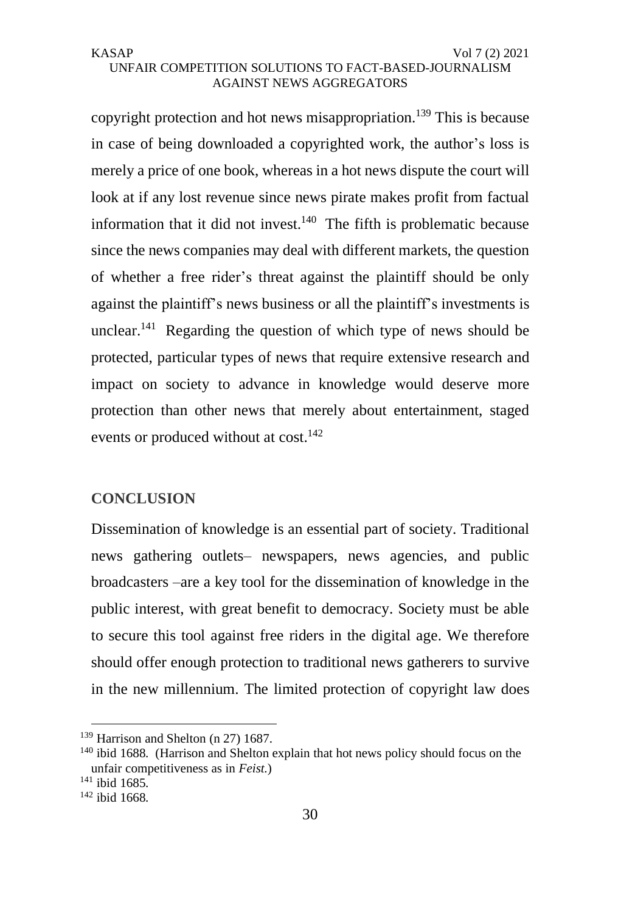copyright protection and hot news misappropriation.<sup>139</sup> This is because in case of being downloaded a copyrighted work, the author's loss is merely a price of one book, whereas in a hot news dispute the court will look at if any lost revenue since news pirate makes profit from factual information that it did not invest. $140$  The fifth is problematic because since the news companies may deal with different markets, the question of whether a free rider's threat against the plaintiff should be only against the plaintiff's news business or all the plaintiff's investments is unclear.<sup>141</sup> Regarding the question of which type of news should be protected, particular types of news that require extensive research and impact on society to advance in knowledge would deserve more protection than other news that merely about entertainment, staged events or produced without at cost.<sup>142</sup>

# **CONCLUSION**

Dissemination of knowledge is an essential part of society. Traditional news gathering outlets– newspapers, news agencies, and public broadcasters –are a key tool for the dissemination of knowledge in the public interest, with great benefit to democracy. Society must be able to secure this tool against free riders in the digital age. We therefore should offer enough protection to traditional news gatherers to survive in the new millennium. The limited protection of copyright law does

<sup>&</sup>lt;sup>139</sup> Harrison and Shelton (n 27) 1687.

<sup>&</sup>lt;sup>140</sup> ibid 1688. (Harrison and Shelton explain that hot news policy should focus on the unfair competitiveness as in *Feist.*)

<sup>141</sup> ibid 1685.

<sup>142</sup> ibid 1668.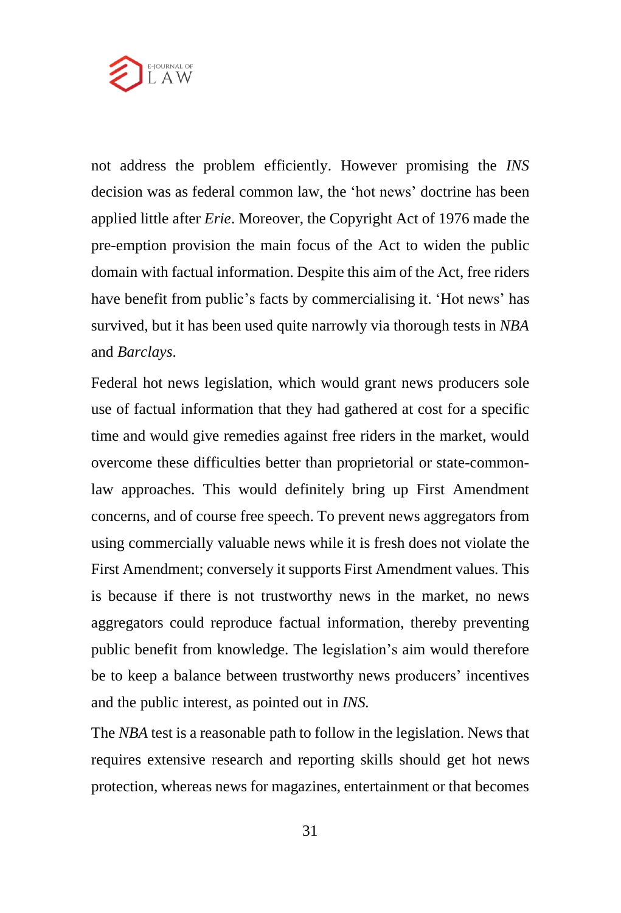

not address the problem efficiently. However promising the *INS* decision was as federal common law, the 'hot news' doctrine has been applied little after *Erie*. Moreover, the Copyright Act of 1976 made the pre-emption provision the main focus of the Act to widen the public domain with factual information. Despite this aim of the Act, free riders have benefit from public's facts by commercialising it. 'Hot news' has survived, but it has been used quite narrowly via thorough tests in *NBA* and *Barclays*.

Federal hot news legislation, which would grant news producers sole use of factual information that they had gathered at cost for a specific time and would give remedies against free riders in the market, would overcome these difficulties better than proprietorial or state-commonlaw approaches. This would definitely bring up First Amendment concerns, and of course free speech. To prevent news aggregators from using commercially valuable news while it is fresh does not violate the First Amendment; conversely it supports First Amendment values. This is because if there is not trustworthy news in the market, no news aggregators could reproduce factual information, thereby preventing public benefit from knowledge. The legislation's aim would therefore be to keep a balance between trustworthy news producers' incentives and the public interest, as pointed out in *INS.*

The *NBA* test is a reasonable path to follow in the legislation. News that requires extensive research and reporting skills should get hot news protection, whereas news for magazines, entertainment or that becomes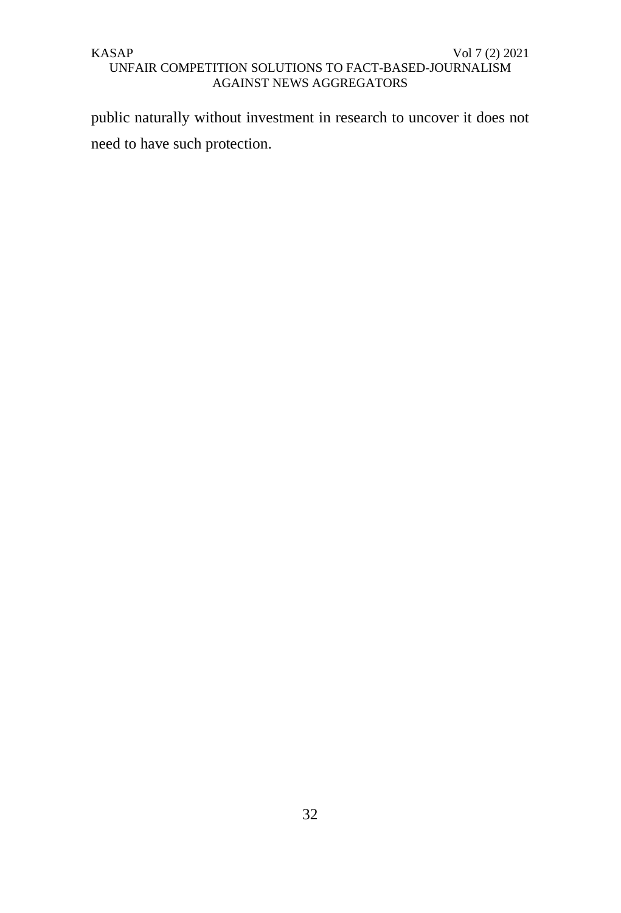public naturally without investment in research to uncover it does not need to have such protection.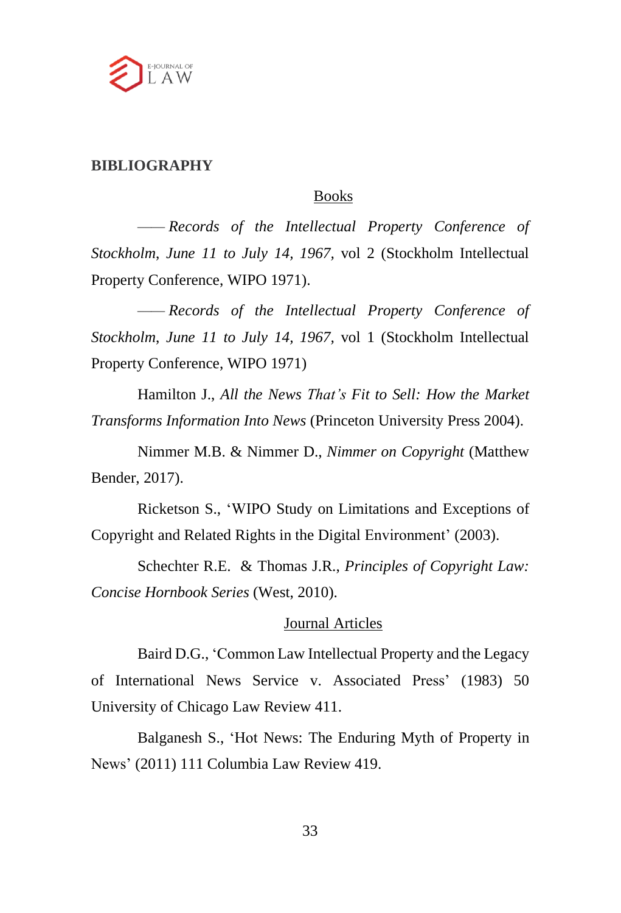

# **BIBLIOGRAPHY**

## Books

*—— Records of the Intellectual Property Conference of Stockholm*, *June 11 to July 14, 1967,* vol 2 (Stockholm Intellectual Property Conference, WIPO 1971).

*—— Records of the Intellectual Property Conference of Stockholm*, *June 11 to July 14, 1967,* vol 1 (Stockholm Intellectual Property Conference, WIPO 1971)

Hamilton J., *All the News That's Fit to Sell: How the Market Transforms Information Into News* (Princeton University Press 2004).

Nimmer M.B. & Nimmer D., *Nimmer on Copyright* (Matthew Bender, 2017).

Ricketson S., 'WIPO Study on Limitations and Exceptions of Copyright and Related Rights in the Digital Environment' (2003).

Schechter R.E. & Thomas J.R., *Principles of Copyright Law: Concise Hornbook Series* (West, 2010).

### Journal Articles

Baird D.G., 'Common Law Intellectual Property and the Legacy of International News Service v. Associated Press' (1983) 50 University of Chicago Law Review 411.

Balganesh S., 'Hot News: The Enduring Myth of Property in News' (2011) 111 Columbia Law Review 419.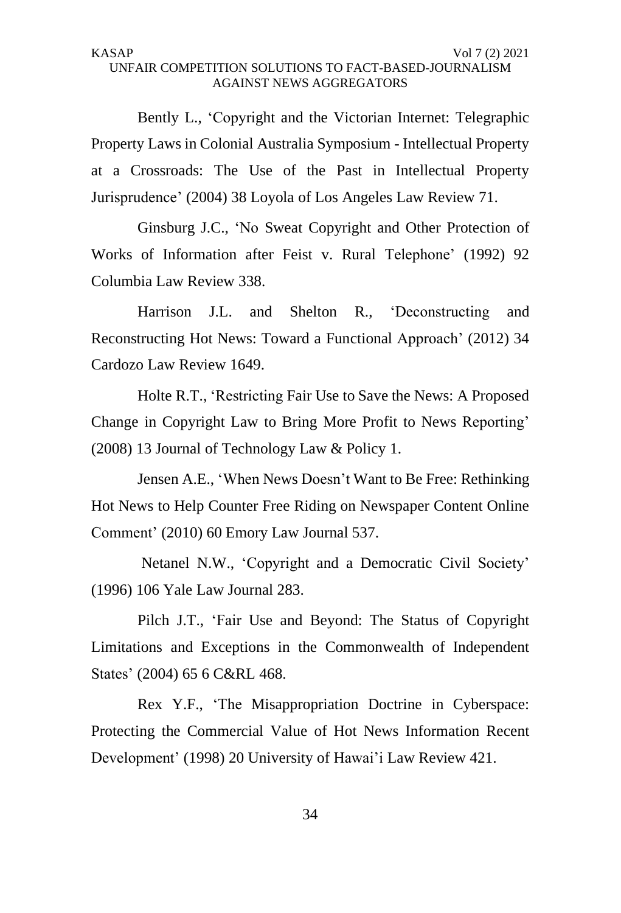Bently L., 'Copyright and the Victorian Internet: Telegraphic Property Laws in Colonial Australia Symposium - Intellectual Property at a Crossroads: The Use of the Past in Intellectual Property Jurisprudence' (2004) 38 Loyola of Los Angeles Law Review 71.

Ginsburg J.C., 'No Sweat Copyright and Other Protection of Works of Information after Feist v. Rural Telephone' (1992) 92 Columbia Law Review 338.

Harrison J.L. and Shelton R., 'Deconstructing and Reconstructing Hot News: Toward a Functional Approach' (2012) 34 Cardozo Law Review 1649.

Holte R.T., 'Restricting Fair Use to Save the News: A Proposed Change in Copyright Law to Bring More Profit to News Reporting' (2008) 13 Journal of Technology Law & Policy 1.

Jensen A.E., 'When News Doesn't Want to Be Free: Rethinking Hot News to Help Counter Free Riding on Newspaper Content Online Comment' (2010) 60 Emory Law Journal 537.

Netanel N.W., 'Copyright and a Democratic Civil Society' (1996) 106 Yale Law Journal 283.

Pilch J.T., 'Fair Use and Beyond: The Status of Copyright Limitations and Exceptions in the Commonwealth of Independent States' (2004) 65 6 C&RL 468.

Rex Y.F., 'The Misappropriation Doctrine in Cyberspace: Protecting the Commercial Value of Hot News Information Recent Development' (1998) 20 University of Hawai'i Law Review 421.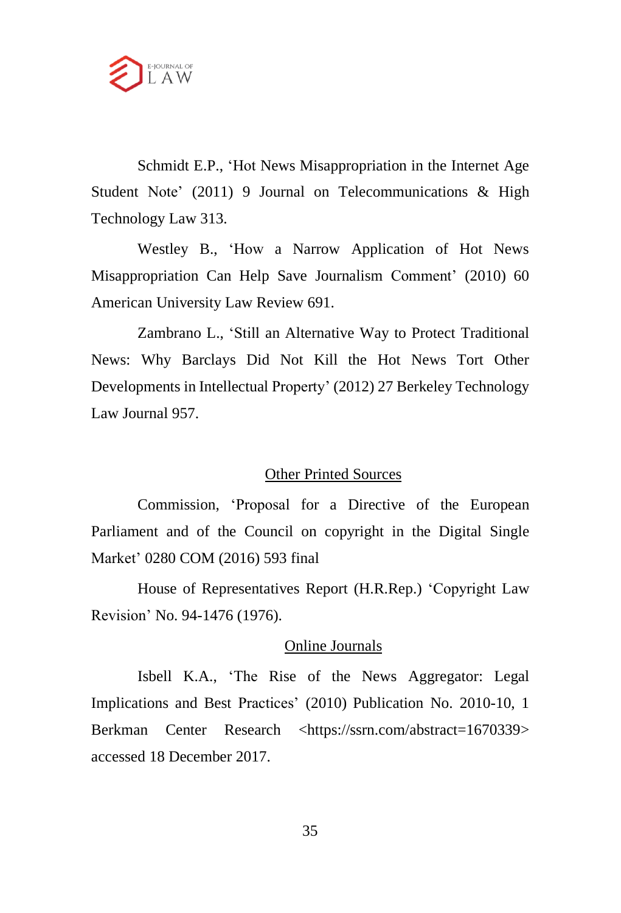

Schmidt E.P., 'Hot News Misappropriation in the Internet Age Student Note' (2011) 9 Journal on Telecommunications & High Technology Law 313.

Westley B., 'How a Narrow Application of Hot News Misappropriation Can Help Save Journalism Comment' (2010) 60 American University Law Review 691.

Zambrano L., 'Still an Alternative Way to Protect Traditional News: Why Barclays Did Not Kill the Hot News Tort Other Developments in Intellectual Property' (2012) 27 Berkeley Technology Law Journal 957.

# Other Printed Sources

Commission, 'Proposal for a Directive of the European Parliament and of the Council on copyright in the Digital Single Market' 0280 COM (2016) 593 final

House of Representatives Report (H.R.Rep.) 'Copyright Law Revision' No. 94-1476 (1976).

# Online Journals

Isbell K.A., 'The Rise of the News Aggregator: Legal Implications and Best Practices' (2010) Publication No. 2010-10, 1 Berkman Center Research <https://ssrn.com/abstract=1670339> accessed 18 December 2017.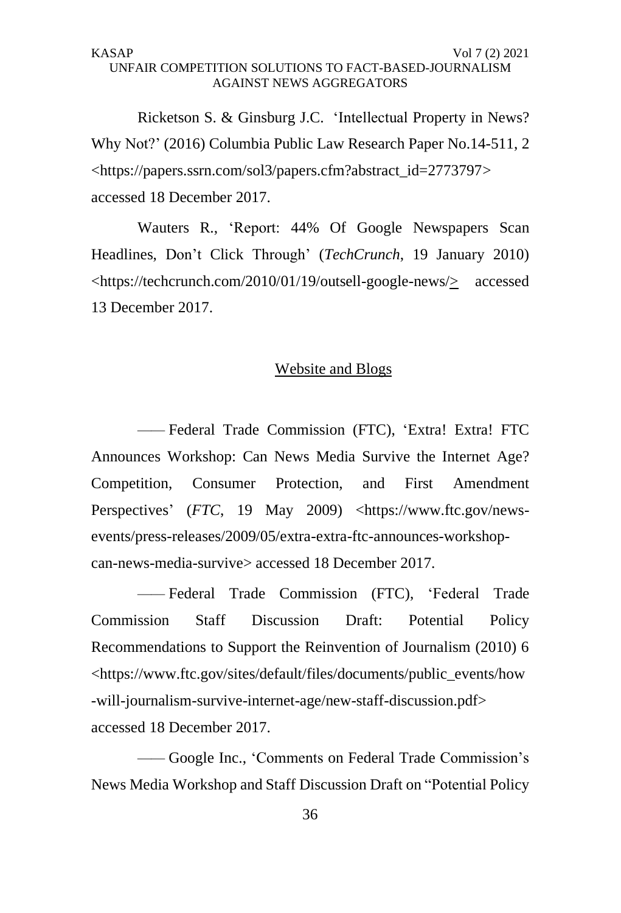Ricketson S. & Ginsburg J.C. 'Intellectual Property in News? Why Not?' (2016) Columbia Public Law Research Paper No.14-511, 2 <https://papers.ssrn.com/sol3/papers.cfm?abstract\_id=2773797> accessed 18 December 2017.

Wauters R., 'Report: 44% Of Google Newspapers Scan Headlines, Don't Click Through' (*TechCrunch*, 19 January 2010) <https://techcrunch.com/2010/01/19/outsell-google-news/> accessed 13 December 2017.

### Website and Blogs

*——* Federal Trade Commission (FTC), 'Extra! Extra! FTC Announces Workshop: Can News Media Survive the Internet Age? Competition, Consumer Protection, and First Amendment Perspectives' (*FTC*, 19 May 2009) <https://www.ftc.gov/newsevents/press-releases/2009/05/extra-extra-ftc-announces-workshopcan-news-media-survive> accessed 18 December 2017.

*——* Federal Trade Commission (FTC), 'Federal Trade Commission Staff Discussion Draft: Potential Policy Recommendations to Support the Reinvention of Journalism (2010) 6 <https://www.ftc.gov/sites/default/files/documents/public\_events/how -will-journalism-survive-internet-age/new-staff-discussion.pdf> accessed 18 December 2017.

*——* Google Inc., 'Comments on Federal Trade Commission's News Media Workshop and Staff Discussion Draft on "Potential Policy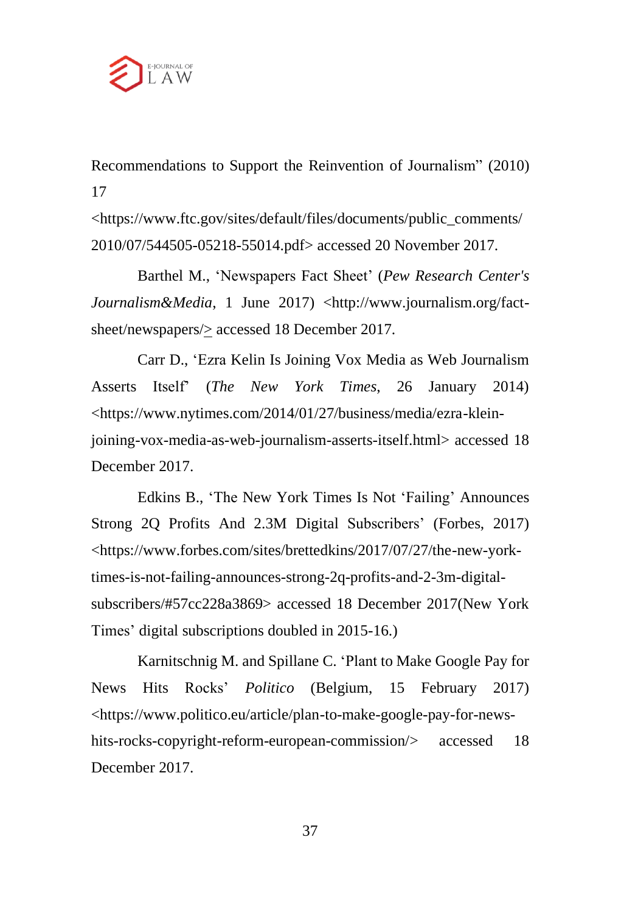

Recommendations to Support the Reinvention of Journalism" (2010) 17

<https://www.ftc.gov/sites/default/files/documents/public\_comments/ 2010/07/544505-05218-55014.pdf> accessed 20 November 2017.

Barthel M., 'Newspapers Fact Sheet' (*Pew Research Center's* Journalism&Media, 1 June 2017) <http://www.journalism.org/factsheet/newspapers/ $\geq$  accessed 18 December 2017.

Carr D., 'Ezra Kelin Is Joining Vox Media as Web Journalism Asserts Itself' (*The New York Times*, 26 January 2014) <https://www.nytimes.com/2014/01/27/business/media/ezra-kleinjoining-vox-media-as-web-journalism-asserts-itself.html> accessed 18 December 2017.

Edkins B., 'The New York Times Is Not 'Failing' Announces Strong 2Q Profits And 2.3M Digital Subscribers' (Forbes, 2017) <https://www.forbes.com/sites/brettedkins/2017/07/27/the-new-yorktimes-is-not-failing-announces-strong-2q-profits-and-2-3m-digitalsubscribers/#57cc228a3869> accessed 18 December 2017(New York Times' digital subscriptions doubled in 2015-16.)

Karnitschnig M. and Spillane C. 'Plant to Make Google Pay for News Hits Rocks' *Politico* (Belgium, 15 February 2017) <https://www.politico.eu/article/plan-to-make-google-pay-for-newshits-rocks-copyright-reform-european-commission/> accessed 18 December 2017.